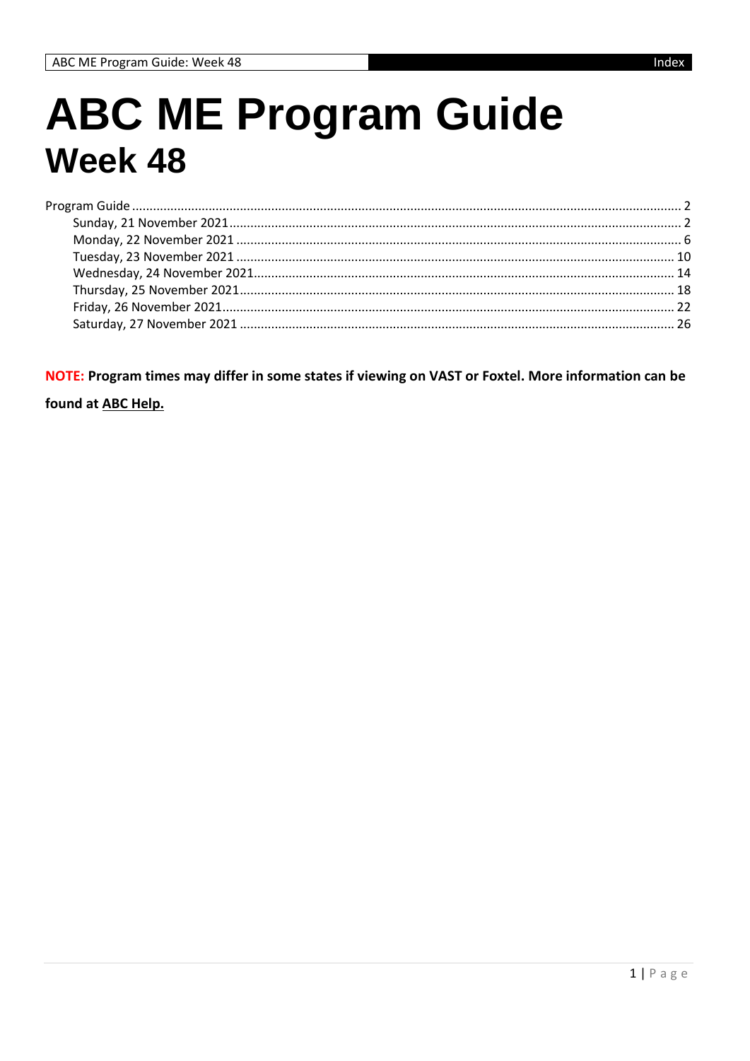## **ABC ME Program Guide Week 48**

NOTE: Program times may differ in some states if viewing on VAST or Foxtel. More information can be

found at ABC Help.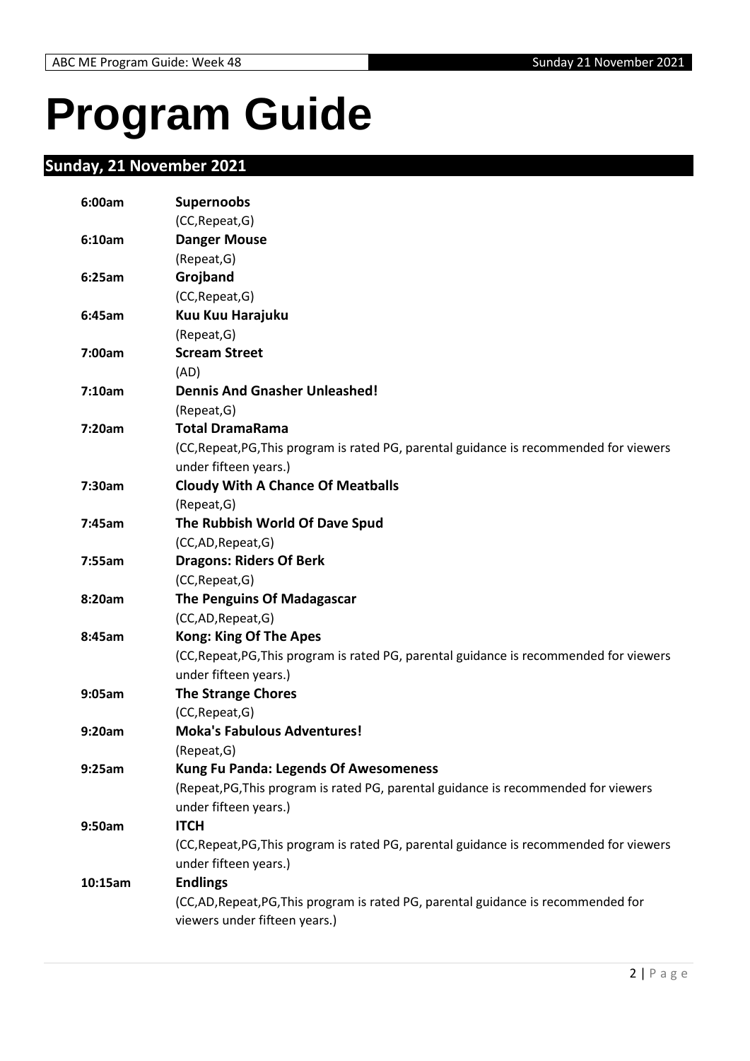# <span id="page-1-0"></span>**Program Guide**

### <span id="page-1-1"></span>**Sunday, 21 November 2021**

| 6:00am  | <b>Supernoobs</b>                                                                       |
|---------|-----------------------------------------------------------------------------------------|
|         | (CC, Repeat, G)                                                                         |
| 6:10am  | <b>Danger Mouse</b>                                                                     |
|         | (Repeat, G)                                                                             |
| 6:25am  | Grojband                                                                                |
|         | (CC, Repeat, G)                                                                         |
| 6:45am  | Kuu Kuu Harajuku                                                                        |
|         | (Repeat, G)                                                                             |
| 7:00am  | <b>Scream Street</b>                                                                    |
|         | (AD)                                                                                    |
| 7:10am  | <b>Dennis And Gnasher Unleashed!</b>                                                    |
|         | (Repeat, G)                                                                             |
| 7:20am  | <b>Total DramaRama</b>                                                                  |
|         | (CC, Repeat, PG, This program is rated PG, parental guidance is recommended for viewers |
|         | under fifteen years.)                                                                   |
| 7:30am  | <b>Cloudy With A Chance Of Meatballs</b>                                                |
|         | (Repeat, G)                                                                             |
| 7:45am  | The Rubbish World Of Dave Spud                                                          |
|         | (CC,AD,Repeat,G)                                                                        |
| 7:55am  | <b>Dragons: Riders Of Berk</b>                                                          |
|         | (CC, Repeat, G)                                                                         |
| 8:20am  | <b>The Penguins Of Madagascar</b>                                                       |
|         | (CC,AD, Repeat, G)                                                                      |
| 8:45am  | <b>Kong: King Of The Apes</b>                                                           |
|         | (CC, Repeat, PG, This program is rated PG, parental guidance is recommended for viewers |
|         | under fifteen years.)                                                                   |
| 9:05am  | <b>The Strange Chores</b>                                                               |
|         | (CC, Repeat, G)                                                                         |
| 9:20am  | <b>Moka's Fabulous Adventures!</b>                                                      |
|         | (Repeat, G)                                                                             |
| 9:25am  | <b>Kung Fu Panda: Legends Of Awesomeness</b>                                            |
|         | (Repeat, PG, This program is rated PG, parental guidance is recommended for viewers     |
|         | under fifteen years.)                                                                   |
| 9:50am  | <b>ITCH</b>                                                                             |
|         | (CC, Repeat, PG, This program is rated PG, parental guidance is recommended for viewers |
|         | under fifteen years.)                                                                   |
| 10:15am | <b>Endlings</b>                                                                         |
|         | (CC,AD,Repeat,PG,This program is rated PG, parental guidance is recommended for         |
|         | viewers under fifteen years.)                                                           |
|         |                                                                                         |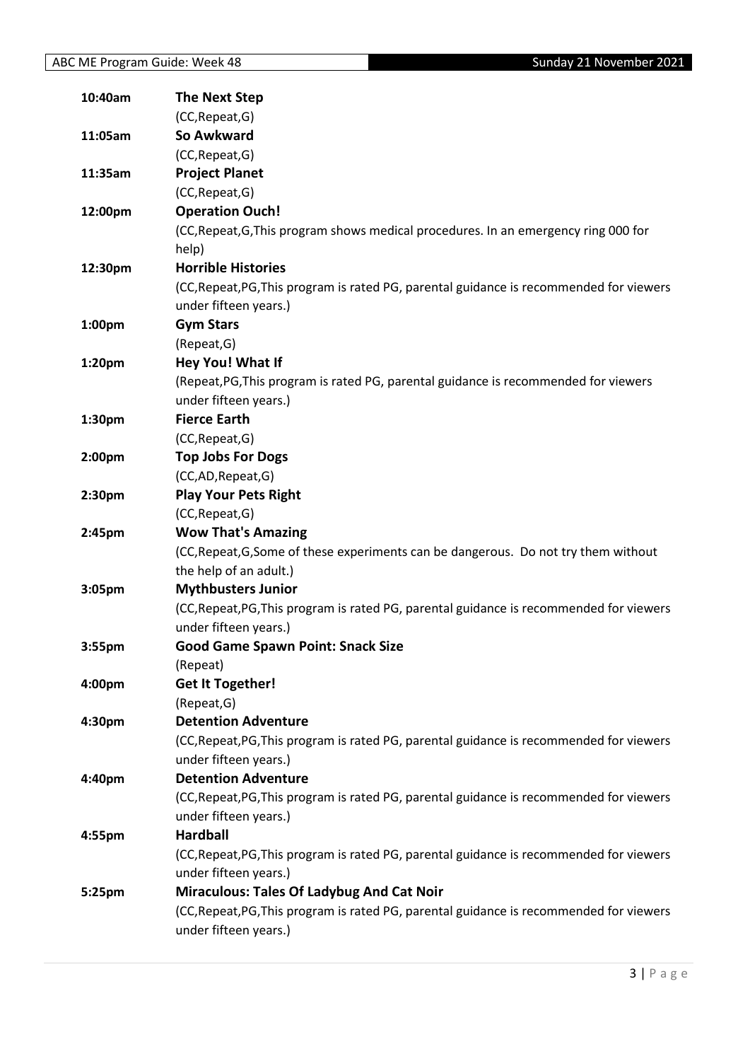| 10:40am | <b>The Next Step</b>                                                                    |
|---------|-----------------------------------------------------------------------------------------|
|         | (CC, Repeat, G)                                                                         |
| 11:05am | So Awkward                                                                              |
|         | (CC, Repeat, G)                                                                         |
| 11:35am | <b>Project Planet</b>                                                                   |
|         | (CC, Repeat, G)                                                                         |
| 12:00pm | <b>Operation Ouch!</b>                                                                  |
|         | (CC, Repeat, G, This program shows medical procedures. In an emergency ring 000 for     |
|         | help)                                                                                   |
| 12:30pm | <b>Horrible Histories</b>                                                               |
|         | (CC, Repeat, PG, This program is rated PG, parental guidance is recommended for viewers |
|         | under fifteen years.)                                                                   |
| 1:00pm  | <b>Gym Stars</b>                                                                        |
|         | (Repeat, G)                                                                             |
| 1:20pm  | Hey You! What If                                                                        |
|         | (Repeat, PG, This program is rated PG, parental guidance is recommended for viewers     |
|         | under fifteen years.)                                                                   |
| 1:30pm  | <b>Fierce Earth</b>                                                                     |
|         | (CC, Repeat, G)                                                                         |
| 2:00pm  | <b>Top Jobs For Dogs</b>                                                                |
|         | (CC,AD,Repeat,G)                                                                        |
| 2:30pm  | <b>Play Your Pets Right</b>                                                             |
|         | (CC, Repeat, G)                                                                         |
| 2:45pm  | <b>Wow That's Amazing</b>                                                               |
|         | (CC, Repeat, G, Some of these experiments can be dangerous. Do not try them without     |
|         | the help of an adult.)                                                                  |
| 3:05pm  | <b>Mythbusters Junior</b>                                                               |
|         | (CC, Repeat, PG, This program is rated PG, parental guidance is recommended for viewers |
|         | under fifteen years.)                                                                   |
| 3:55pm  | <b>Good Game Spawn Point: Snack Size</b>                                                |
|         | (Repeat)                                                                                |
| 4:00pm  | <b>Get It Together!</b>                                                                 |
|         | (Repeat, G)                                                                             |
| 4:30pm  | <b>Detention Adventure</b>                                                              |
|         | (CC, Repeat, PG, This program is rated PG, parental guidance is recommended for viewers |
|         | under fifteen years.)                                                                   |
| 4:40pm  | <b>Detention Adventure</b>                                                              |
|         | (CC, Repeat, PG, This program is rated PG, parental guidance is recommended for viewers |
|         | under fifteen years.)                                                                   |
| 4:55pm  | <b>Hardball</b>                                                                         |
|         | (CC, Repeat, PG, This program is rated PG, parental guidance is recommended for viewers |
|         | under fifteen years.)                                                                   |
| 5:25pm  | <b>Miraculous: Tales Of Ladybug And Cat Noir</b>                                        |
|         | (CC, Repeat, PG, This program is rated PG, parental guidance is recommended for viewers |
|         | under fifteen years.)                                                                   |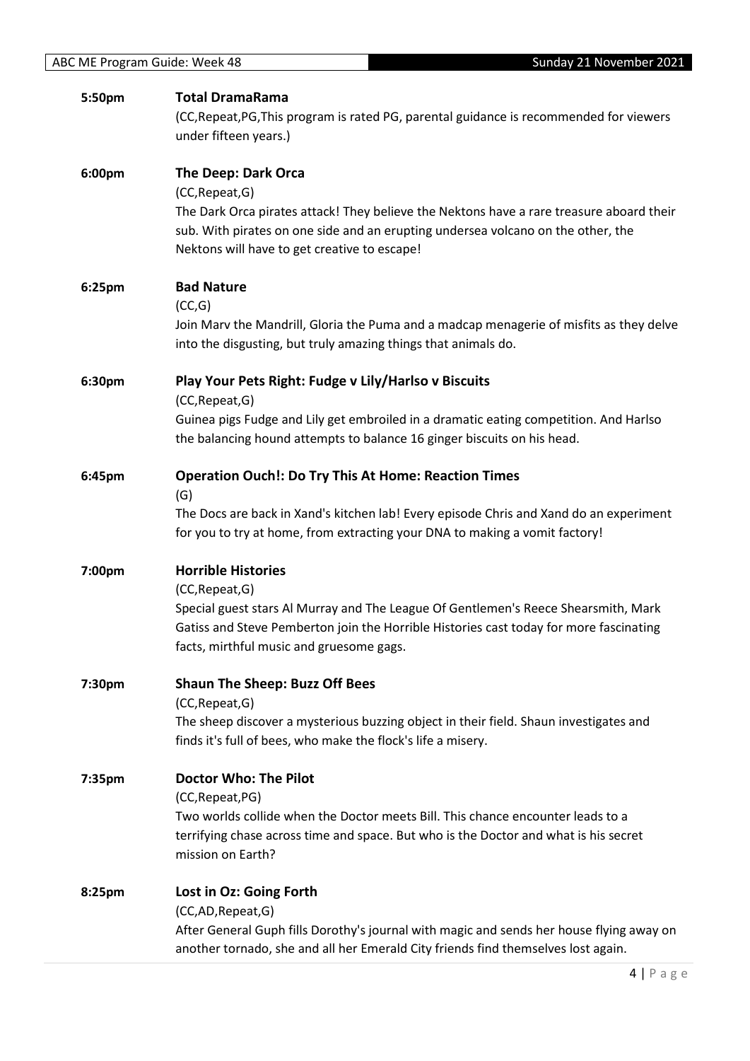| 5:50pm | <b>Total DramaRama</b>                                                                                                                                                                                                   |
|--------|--------------------------------------------------------------------------------------------------------------------------------------------------------------------------------------------------------------------------|
|        | (CC, Repeat, PG, This program is rated PG, parental guidance is recommended for viewers<br>under fifteen years.)                                                                                                         |
| 6:00pm | The Deep: Dark Orca                                                                                                                                                                                                      |
|        | (CC, Repeat, G)                                                                                                                                                                                                          |
|        | The Dark Orca pirates attack! They believe the Nektons have a rare treasure aboard their                                                                                                                                 |
|        | sub. With pirates on one side and an erupting undersea volcano on the other, the<br>Nektons will have to get creative to escape!                                                                                         |
| 6:25pm | <b>Bad Nature</b>                                                                                                                                                                                                        |
|        | (CC,G)                                                                                                                                                                                                                   |
|        | Join Marv the Mandrill, Gloria the Puma and a madcap menagerie of misfits as they delve                                                                                                                                  |
|        | into the disgusting, but truly amazing things that animals do.                                                                                                                                                           |
| 6:30pm | Play Your Pets Right: Fudge v Lily/Harlso v Biscuits                                                                                                                                                                     |
|        | (CC, Repeat, G)                                                                                                                                                                                                          |
|        | Guinea pigs Fudge and Lily get embroiled in a dramatic eating competition. And Harlso<br>the balancing hound attempts to balance 16 ginger biscuits on his head.                                                         |
| 6:45pm | <b>Operation Ouch!: Do Try This At Home: Reaction Times</b>                                                                                                                                                              |
|        | (G)                                                                                                                                                                                                                      |
|        | The Docs are back in Xand's kitchen lab! Every episode Chris and Xand do an experiment<br>for you to try at home, from extracting your DNA to making a vomit factory!                                                    |
| 7:00pm | <b>Horrible Histories</b>                                                                                                                                                                                                |
|        | (CC, Repeat, G)                                                                                                                                                                                                          |
|        | Special guest stars Al Murray and The League Of Gentlemen's Reece Shearsmith, Mark<br>Gatiss and Steve Pemberton join the Horrible Histories cast today for more fascinating<br>facts, mirthful music and gruesome gags. |
|        |                                                                                                                                                                                                                          |
| 7:30pm | <b>Shaun The Sheep: Buzz Off Bees</b><br>(CC, Repeat, G)                                                                                                                                                                 |
|        | The sheep discover a mysterious buzzing object in their field. Shaun investigates and                                                                                                                                    |
|        | finds it's full of bees, who make the flock's life a misery.                                                                                                                                                             |
| 7:35pm | <b>Doctor Who: The Pilot</b>                                                                                                                                                                                             |
|        | (CC, Repeat, PG)                                                                                                                                                                                                         |
|        | Two worlds collide when the Doctor meets Bill. This chance encounter leads to a                                                                                                                                          |
|        | terrifying chase across time and space. But who is the Doctor and what is his secret<br>mission on Earth?                                                                                                                |
| 8:25pm | Lost in Oz: Going Forth                                                                                                                                                                                                  |
|        | (CC,AD,Repeat,G)                                                                                                                                                                                                         |
|        | After General Guph fills Dorothy's journal with magic and sends her house flying away on<br>another tornado, she and all her Emerald City friends find themselves lost again.                                            |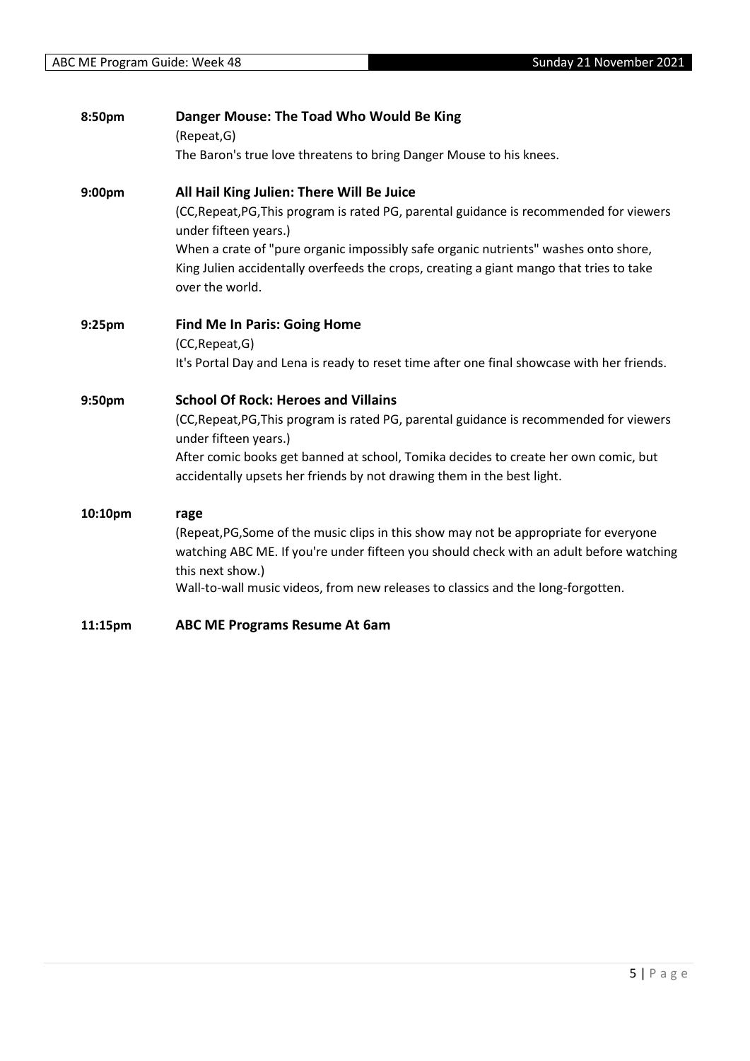| 8:50pm  | Danger Mouse: The Toad Who Would Be King<br>(Repeat, G)                                                                                                                                              |
|---------|------------------------------------------------------------------------------------------------------------------------------------------------------------------------------------------------------|
|         | The Baron's true love threatens to bring Danger Mouse to his knees.                                                                                                                                  |
| 9:00pm  | All Hail King Julien: There Will Be Juice                                                                                                                                                            |
|         | (CC, Repeat, PG, This program is rated PG, parental guidance is recommended for viewers<br>under fifteen years.)                                                                                     |
|         | When a crate of "pure organic impossibly safe organic nutrients" washes onto shore,<br>King Julien accidentally overfeeds the crops, creating a giant mango that tries to take<br>over the world.    |
| 9:25pm  | <b>Find Me In Paris: Going Home</b>                                                                                                                                                                  |
|         | (CC, Repeat, G)<br>It's Portal Day and Lena is ready to reset time after one final showcase with her friends.                                                                                        |
| 9:50pm  | <b>School Of Rock: Heroes and Villains</b>                                                                                                                                                           |
|         | (CC, Repeat, PG, This program is rated PG, parental guidance is recommended for viewers<br>under fifteen years.)                                                                                     |
|         | After comic books get banned at school, Tomika decides to create her own comic, but<br>accidentally upsets her friends by not drawing them in the best light.                                        |
| 10:10pm | rage                                                                                                                                                                                                 |
|         | (Repeat, PG, Some of the music clips in this show may not be appropriate for everyone<br>watching ABC ME. If you're under fifteen you should check with an adult before watching<br>this next show.) |
|         | Wall-to-wall music videos, from new releases to classics and the long-forgotten.                                                                                                                     |
| 11:15pm | <b>ABC ME Programs Resume At 6am</b>                                                                                                                                                                 |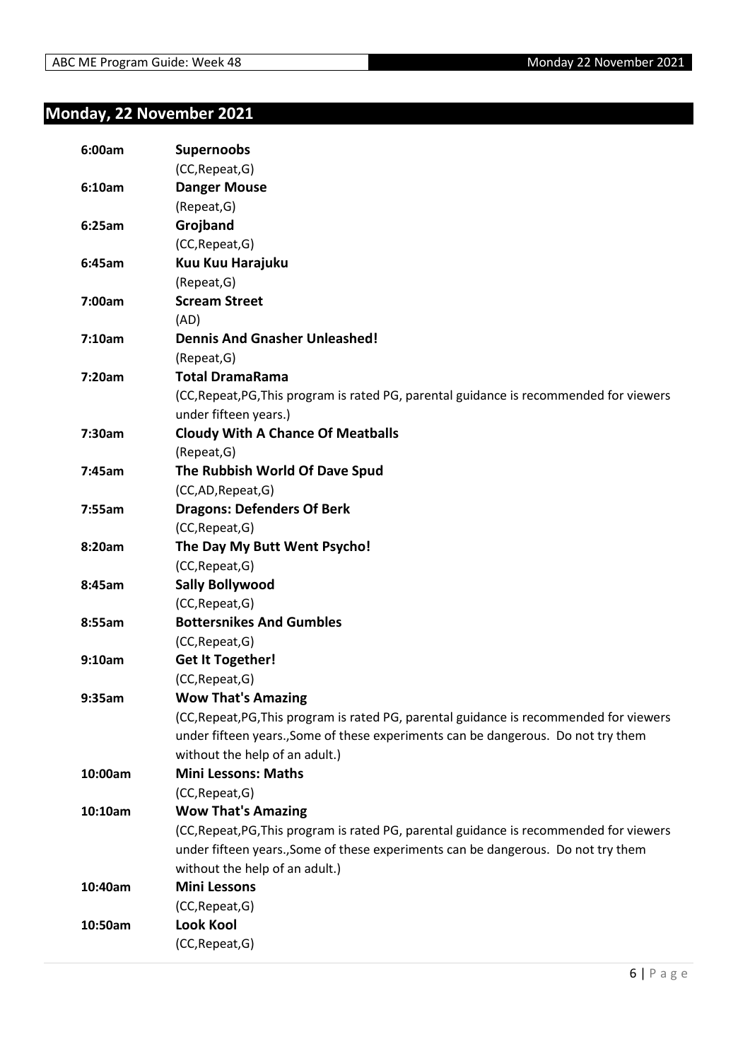### <span id="page-5-0"></span>**Monday, 22 November 2021**

| 6:00am  | <b>Supernoobs</b>                                                                       |
|---------|-----------------------------------------------------------------------------------------|
|         | (CC, Repeat, G)                                                                         |
| 6:10am  | <b>Danger Mouse</b>                                                                     |
|         | (Repeat, G)                                                                             |
| 6:25am  | Grojband                                                                                |
|         | (CC, Repeat, G)                                                                         |
| 6:45am  | Kuu Kuu Harajuku                                                                        |
|         | (Repeat, G)                                                                             |
| 7:00am  | <b>Scream Street</b>                                                                    |
|         | (AD)                                                                                    |
| 7:10am  | <b>Dennis And Gnasher Unleashed!</b>                                                    |
|         | (Repeat, G)                                                                             |
| 7:20am  | <b>Total DramaRama</b>                                                                  |
|         | (CC, Repeat, PG, This program is rated PG, parental guidance is recommended for viewers |
|         | under fifteen years.)                                                                   |
| 7:30am  | <b>Cloudy With A Chance Of Meatballs</b>                                                |
|         | (Repeat, G)                                                                             |
| 7:45am  | The Rubbish World Of Dave Spud                                                          |
|         | (CC,AD, Repeat, G)                                                                      |
| 7:55am  | <b>Dragons: Defenders Of Berk</b>                                                       |
|         | (CC, Repeat, G)                                                                         |
| 8:20am  | The Day My Butt Went Psycho!                                                            |
|         | (CC, Repeat, G)                                                                         |
| 8:45am  | <b>Sally Bollywood</b>                                                                  |
|         | (CC, Repeat, G)                                                                         |
| 8:55am  | <b>Bottersnikes And Gumbles</b>                                                         |
|         | (CC, Repeat, G)                                                                         |
| 9:10am  | <b>Get It Together!</b>                                                                 |
|         | (CC, Repeat, G)                                                                         |
| 9:35am  | <b>Wow That's Amazing</b>                                                               |
|         | (CC, Repeat, PG, This program is rated PG, parental guidance is recommended for viewers |
|         | under fifteen years., Some of these experiments can be dangerous. Do not try them       |
|         | without the help of an adult.)                                                          |
| 10:00am | <b>Mini Lessons: Maths</b>                                                              |
|         | (CC, Repeat, G)                                                                         |
| 10:10am | <b>Wow That's Amazing</b>                                                               |
|         | (CC, Repeat, PG, This program is rated PG, parental guidance is recommended for viewers |
|         | under fifteen years., Some of these experiments can be dangerous. Do not try them       |
|         | without the help of an adult.)                                                          |
| 10:40am | <b>Mini Lessons</b>                                                                     |
|         | (CC, Repeat, G)                                                                         |
| 10:50am | <b>Look Kool</b>                                                                        |
|         | (CC, Repeat, G)                                                                         |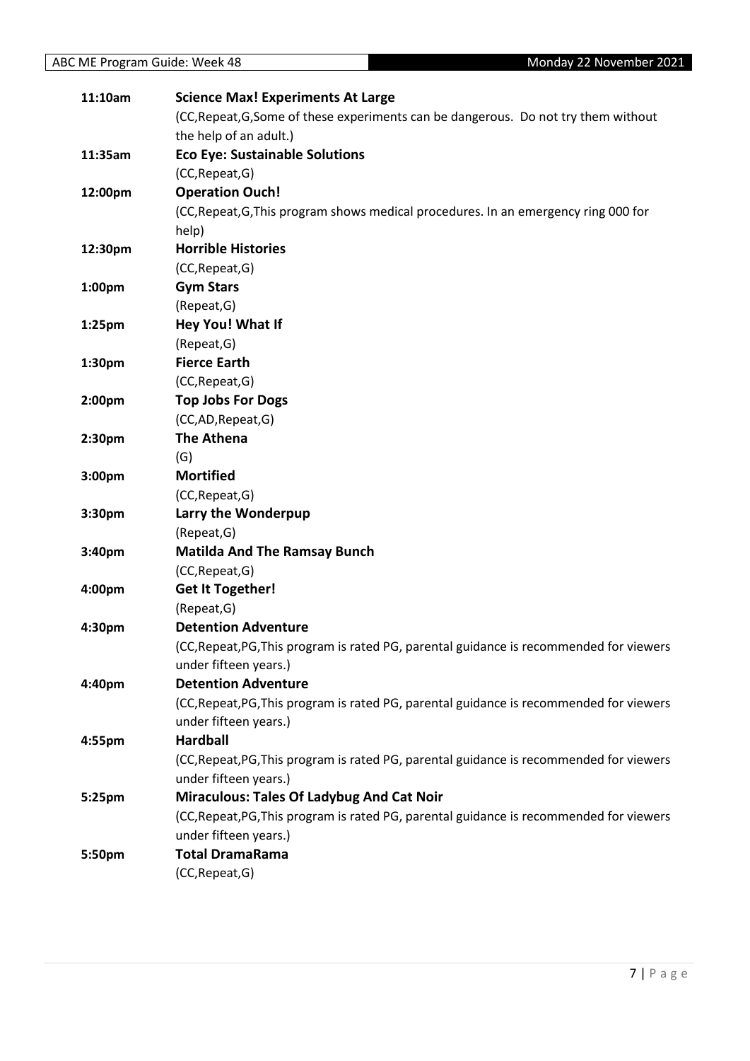| 11:10am            | <b>Science Max! Experiments At Large</b>                                                |
|--------------------|-----------------------------------------------------------------------------------------|
|                    | (CC, Repeat, G, Some of these experiments can be dangerous. Do not try them without     |
|                    | the help of an adult.)                                                                  |
| 11:35am            | <b>Eco Eye: Sustainable Solutions</b>                                                   |
|                    | (CC, Repeat, G)                                                                         |
| 12:00pm            | <b>Operation Ouch!</b>                                                                  |
|                    | (CC, Repeat, G, This program shows medical procedures. In an emergency ring 000 for     |
|                    | help)                                                                                   |
| 12:30pm            | <b>Horrible Histories</b>                                                               |
|                    | (CC, Repeat, G)                                                                         |
| 1:00 <sub>pm</sub> | <b>Gym Stars</b>                                                                        |
|                    | (Repeat, G)                                                                             |
| 1:25 <sub>pm</sub> | Hey You! What If                                                                        |
|                    | (Repeat, G)                                                                             |
| 1:30pm             | <b>Fierce Earth</b>                                                                     |
|                    | (CC, Repeat, G)                                                                         |
| 2:00 <sub>pm</sub> | <b>Top Jobs For Dogs</b>                                                                |
|                    | (CC,AD,Repeat,G)                                                                        |
| 2:30 <sub>pm</sub> | <b>The Athena</b>                                                                       |
|                    | (G)                                                                                     |
| 3:00pm             | <b>Mortified</b>                                                                        |
|                    | (CC, Repeat, G)                                                                         |
| 3:30pm             | Larry the Wonderpup                                                                     |
|                    | (Repeat, G)                                                                             |
| 3:40pm             | <b>Matilda And The Ramsay Bunch</b>                                                     |
|                    | (CC, Repeat, G)                                                                         |
| 4:00pm             | <b>Get It Together!</b>                                                                 |
|                    | (Repeat, G)                                                                             |
| 4:30pm             | <b>Detention Adventure</b>                                                              |
|                    | (CC, Repeat, PG, This program is rated PG, parental guidance is recommended for viewers |
|                    | under fifteen years.)                                                                   |
| 4:40pm             | <b>Detention Adventure</b>                                                              |
|                    | (CC, Repeat, PG, This program is rated PG, parental guidance is recommended for viewers |
|                    | under fifteen years.)                                                                   |
| 4:55pm             | <b>Hardball</b>                                                                         |
|                    | (CC, Repeat, PG, This program is rated PG, parental guidance is recommended for viewers |
|                    | under fifteen years.)                                                                   |
| 5:25pm             | <b>Miraculous: Tales Of Ladybug And Cat Noir</b>                                        |
|                    | (CC, Repeat, PG, This program is rated PG, parental guidance is recommended for viewers |
|                    | under fifteen years.)                                                                   |
| 5:50pm             | <b>Total DramaRama</b>                                                                  |
|                    | (CC, Repeat, G)                                                                         |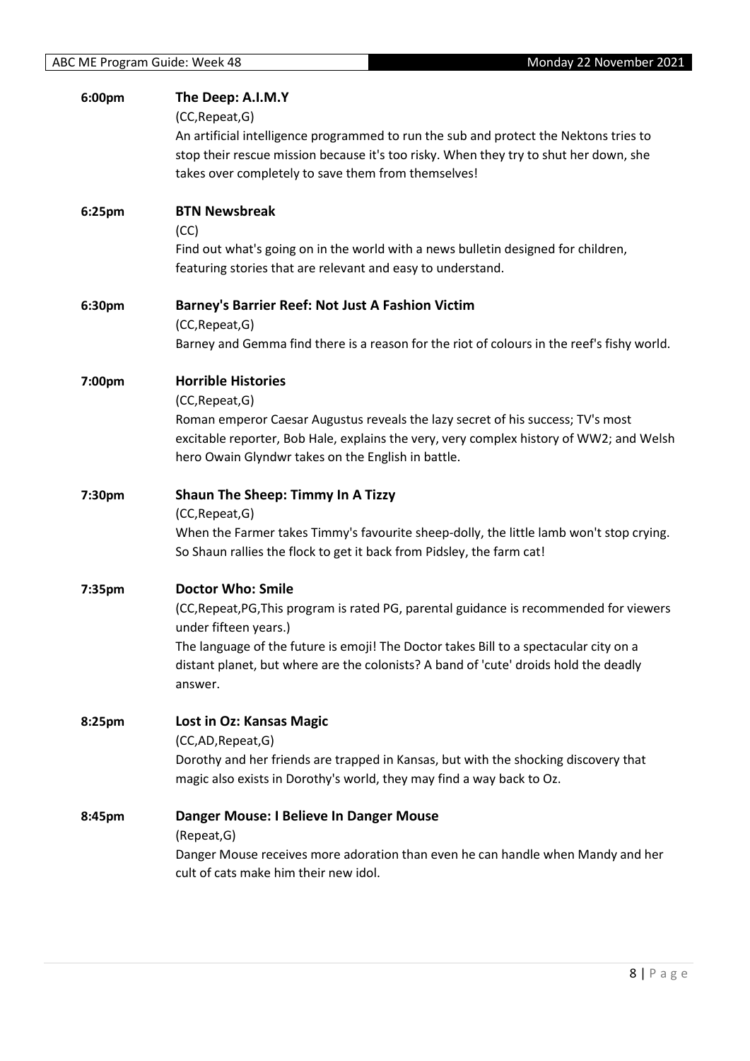| 6:00pm | The Deep: A.I.M.Y                                                                                                                                                              |
|--------|--------------------------------------------------------------------------------------------------------------------------------------------------------------------------------|
|        | (CC, Repeat, G)                                                                                                                                                                |
|        | An artificial intelligence programmed to run the sub and protect the Nektons tries to<br>stop their rescue mission because it's too risky. When they try to shut her down, she |
|        | takes over completely to save them from themselves!                                                                                                                            |
|        |                                                                                                                                                                                |
| 6:25pm | <b>BTN Newsbreak</b>                                                                                                                                                           |
|        | (CC)<br>Find out what's going on in the world with a news bulletin designed for children,                                                                                      |
|        | featuring stories that are relevant and easy to understand.                                                                                                                    |
|        |                                                                                                                                                                                |
| 6:30pm | <b>Barney's Barrier Reef: Not Just A Fashion Victim</b>                                                                                                                        |
|        | (CC, Repeat, G)                                                                                                                                                                |
|        | Barney and Gemma find there is a reason for the riot of colours in the reef's fishy world.                                                                                     |
| 7:00pm | <b>Horrible Histories</b>                                                                                                                                                      |
|        | (CC, Repeat, G)                                                                                                                                                                |
|        | Roman emperor Caesar Augustus reveals the lazy secret of his success; TV's most                                                                                                |
|        | excitable reporter, Bob Hale, explains the very, very complex history of WW2; and Welsh<br>hero Owain Glyndwr takes on the English in battle.                                  |
|        |                                                                                                                                                                                |
| 7:30pm | <b>Shaun The Sheep: Timmy In A Tizzy</b>                                                                                                                                       |
|        | (CC, Repeat, G)                                                                                                                                                                |
|        | When the Farmer takes Timmy's favourite sheep-dolly, the little lamb won't stop crying.                                                                                        |
|        | So Shaun rallies the flock to get it back from Pidsley, the farm cat!                                                                                                          |
| 7:35pm | <b>Doctor Who: Smile</b>                                                                                                                                                       |
|        | (CC, Repeat, PG, This program is rated PG, parental guidance is recommended for viewers                                                                                        |
|        | under fifteen years.)                                                                                                                                                          |
|        | The language of the future is emoji! The Doctor takes Bill to a spectacular city on a<br>distant planet, but where are the colonists? A band of 'cute' droids hold the deadly  |
|        | answer.                                                                                                                                                                        |
|        |                                                                                                                                                                                |
| 8:25pm | <b>Lost in Oz: Kansas Magic</b>                                                                                                                                                |
|        | (CC,AD,Repeat,G)<br>Dorothy and her friends are trapped in Kansas, but with the shocking discovery that                                                                        |
|        | magic also exists in Dorothy's world, they may find a way back to Oz.                                                                                                          |
|        |                                                                                                                                                                                |
| 8:45pm | Danger Mouse: I Believe In Danger Mouse                                                                                                                                        |
|        | (Repeat, G)                                                                                                                                                                    |
|        | Danger Mouse receives more adoration than even he can handle when Mandy and her<br>cult of cats make him their new idol.                                                       |
|        |                                                                                                                                                                                |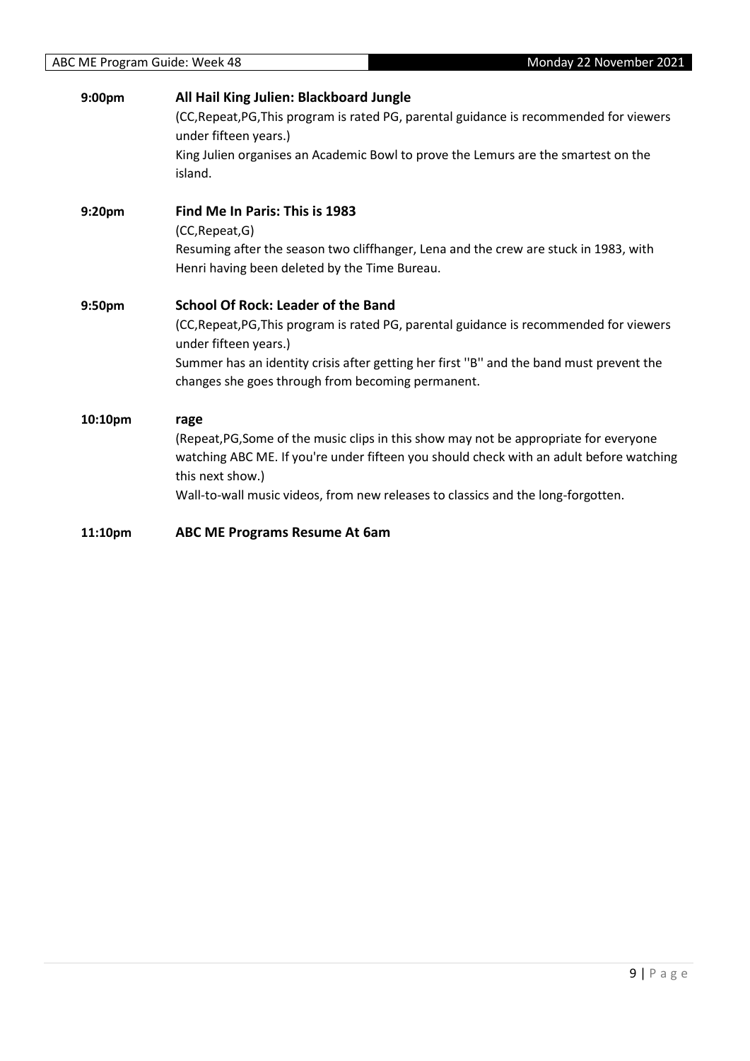| 9:00pm  | All Hail King Julien: Blackboard Jungle<br>(CC, Repeat, PG, This program is rated PG, parental guidance is recommended for viewers |
|---------|------------------------------------------------------------------------------------------------------------------------------------|
|         | under fifteen years.)                                                                                                              |
|         | King Julien organises an Academic Bowl to prove the Lemurs are the smartest on the                                                 |
|         | island.                                                                                                                            |
|         |                                                                                                                                    |
| 9:20pm  | Find Me In Paris: This is 1983                                                                                                     |
|         | (CC, Repeat, G)                                                                                                                    |
|         | Resuming after the season two cliffhanger, Lena and the crew are stuck in 1983, with                                               |
|         | Henri having been deleted by the Time Bureau.                                                                                      |
| 9:50pm  | <b>School Of Rock: Leader of the Band</b>                                                                                          |
|         | (CC, Repeat, PG, This program is rated PG, parental guidance is recommended for viewers                                            |
|         | under fifteen years.)                                                                                                              |
|         | Summer has an identity crisis after getting her first "B" and the band must prevent the                                            |
|         | changes she goes through from becoming permanent.                                                                                  |
| 10:10pm | rage                                                                                                                               |
|         | (Repeat, PG, Some of the music clips in this show may not be appropriate for everyone                                              |
|         | watching ABC ME. If you're under fifteen you should check with an adult before watching                                            |
|         | this next show.)                                                                                                                   |
|         | Wall-to-wall music videos, from new releases to classics and the long-forgotten.                                                   |
| 11:10pm | ABC ME Programs Resume At 6am                                                                                                      |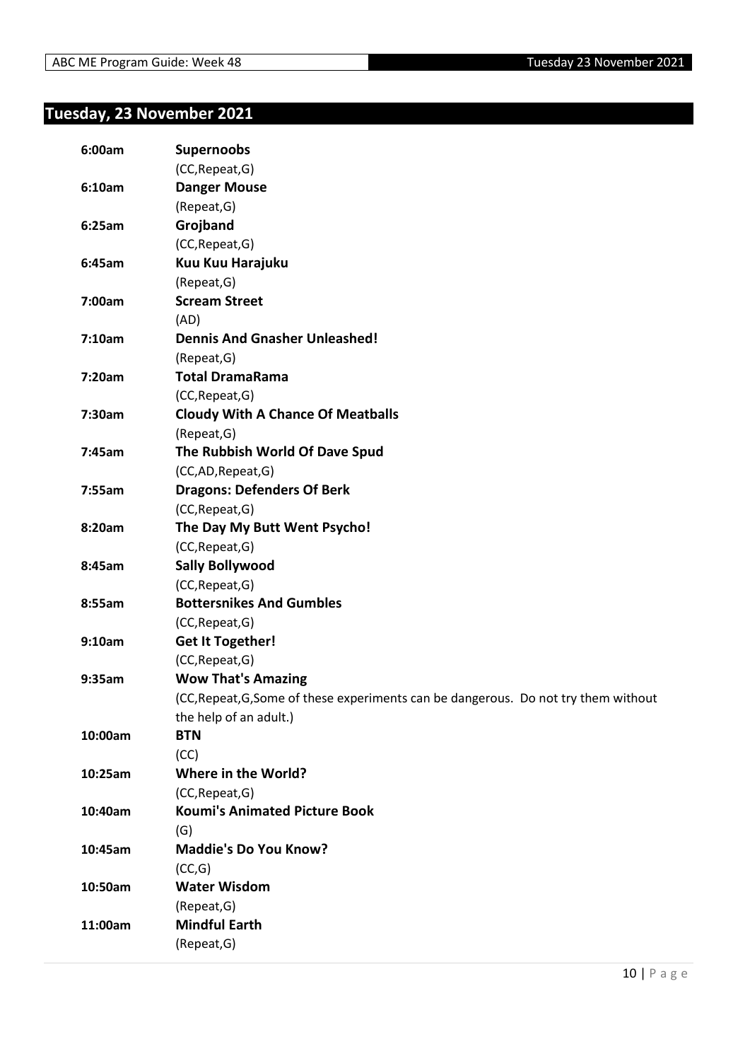### <span id="page-9-0"></span>**Tuesday, 23 November 2021**

| 6:00am  | <b>Supernoobs</b>                                                                   |
|---------|-------------------------------------------------------------------------------------|
|         | (CC, Repeat, G)                                                                     |
| 6:10am  | <b>Danger Mouse</b>                                                                 |
|         | (Repeat, G)                                                                         |
| 6:25am  | Grojband                                                                            |
|         | (CC, Repeat, G)                                                                     |
| 6:45am  | Kuu Kuu Harajuku                                                                    |
|         | (Repeat, G)                                                                         |
| 7:00am  | <b>Scream Street</b>                                                                |
|         | (AD)                                                                                |
| 7:10am  | <b>Dennis And Gnasher Unleashed!</b>                                                |
|         | (Repeat, G)                                                                         |
| 7:20am  | <b>Total DramaRama</b>                                                              |
|         | (CC, Repeat, G)                                                                     |
| 7:30am  | <b>Cloudy With A Chance Of Meatballs</b>                                            |
|         | (Repeat, G)                                                                         |
| 7:45am  | The Rubbish World Of Dave Spud                                                      |
|         | (CC,AD,Repeat,G)                                                                    |
| 7:55am  | <b>Dragons: Defenders Of Berk</b>                                                   |
|         | (CC, Repeat, G)                                                                     |
| 8:20am  | The Day My Butt Went Psycho!                                                        |
|         | (CC, Repeat, G)                                                                     |
| 8:45am  | <b>Sally Bollywood</b>                                                              |
|         | (CC, Repeat, G)                                                                     |
| 8:55am  | <b>Bottersnikes And Gumbles</b>                                                     |
|         | (CC, Repeat, G)                                                                     |
| 9:10am  | <b>Get It Together!</b>                                                             |
|         | (CC, Repeat, G)                                                                     |
| 9:35am  | <b>Wow That's Amazing</b>                                                           |
|         | (CC, Repeat, G, Some of these experiments can be dangerous. Do not try them without |
|         | the help of an adult.)                                                              |
| 10:00am | <b>BTN</b>                                                                          |
|         | (CC)                                                                                |
| 10:25am | Where in the World?                                                                 |
|         | (CC, Repeat, G)                                                                     |
| 10:40am | <b>Koumi's Animated Picture Book</b>                                                |
|         | (G)                                                                                 |
| 10:45am | <b>Maddie's Do You Know?</b>                                                        |
|         | (CC,G)                                                                              |
| 10:50am | <b>Water Wisdom</b>                                                                 |
|         | (Repeat, G)                                                                         |
| 11:00am | <b>Mindful Earth</b>                                                                |
|         | (Repeat, G)                                                                         |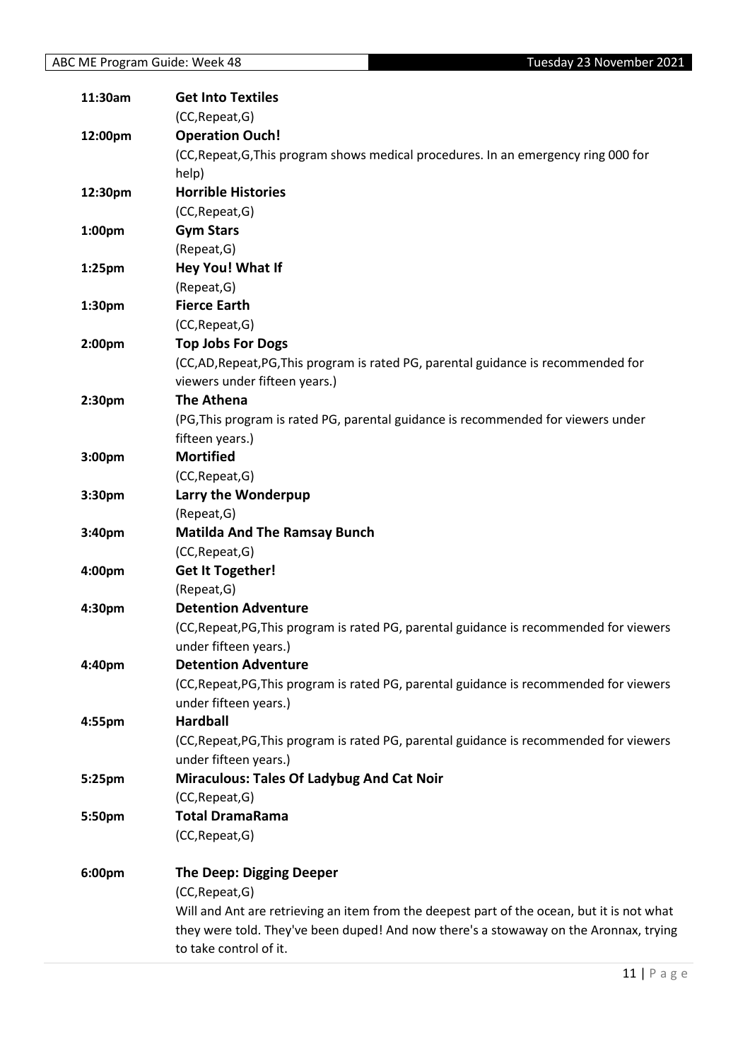| 11:30am            | <b>Get Into Textiles</b>                                                                   |
|--------------------|--------------------------------------------------------------------------------------------|
|                    | (CC, Repeat, G)                                                                            |
| 12:00pm            | <b>Operation Ouch!</b>                                                                     |
|                    | (CC, Repeat, G, This program shows medical procedures. In an emergency ring 000 for        |
|                    | help)                                                                                      |
| 12:30pm            | <b>Horrible Histories</b>                                                                  |
|                    | (CC, Repeat, G)                                                                            |
| 1:00pm             | <b>Gym Stars</b>                                                                           |
|                    | (Repeat, G)                                                                                |
| 1:25 <sub>pm</sub> | Hey You! What If                                                                           |
|                    | (Repeat, G)                                                                                |
| 1:30pm             | <b>Fierce Earth</b>                                                                        |
|                    | (CC, Repeat, G)                                                                            |
| 2:00 <sub>pm</sub> | <b>Top Jobs For Dogs</b>                                                                   |
|                    | (CC,AD,Repeat,PG,This program is rated PG, parental guidance is recommended for            |
|                    | viewers under fifteen years.)                                                              |
| 2:30pm             | <b>The Athena</b>                                                                          |
|                    | (PG, This program is rated PG, parental guidance is recommended for viewers under          |
|                    | fifteen years.)                                                                            |
| 3:00pm             | <b>Mortified</b>                                                                           |
|                    | (CC, Repeat, G)                                                                            |
| 3:30 <sub>pm</sub> | Larry the Wonderpup                                                                        |
|                    | (Repeat, G)                                                                                |
| 3:40pm             | <b>Matilda And The Ramsay Bunch</b>                                                        |
|                    | (CC, Repeat, G)                                                                            |
| 4:00pm             | <b>Get It Together!</b>                                                                    |
|                    | (Repeat, G)                                                                                |
| 4:30pm             | <b>Detention Adventure</b>                                                                 |
|                    | (CC, Repeat, PG, This program is rated PG, parental guidance is recommended for viewers    |
|                    | under fifteen years.)                                                                      |
| 4:40pm             | <b>Detention Adventure</b>                                                                 |
|                    | (CC, Repeat, PG, This program is rated PG, parental guidance is recommended for viewers    |
|                    | under fifteen years.)                                                                      |
| 4:55pm             | <b>Hardball</b>                                                                            |
|                    | (CC, Repeat, PG, This program is rated PG, parental guidance is recommended for viewers    |
|                    | under fifteen years.)                                                                      |
| 5:25pm             | <b>Miraculous: Tales Of Ladybug And Cat Noir</b>                                           |
|                    | (CC, Repeat, G)                                                                            |
| 5:50pm             | <b>Total DramaRama</b>                                                                     |
|                    | (CC, Repeat, G)                                                                            |
| 6:00pm             | <b>The Deep: Digging Deeper</b>                                                            |
|                    | (CC, Repeat, G)                                                                            |
|                    | Will and Ant are retrieving an item from the deepest part of the ocean, but it is not what |
|                    | they were told. They've been duped! And now there's a stowaway on the Aronnax, trying      |
|                    | to take control of it.                                                                     |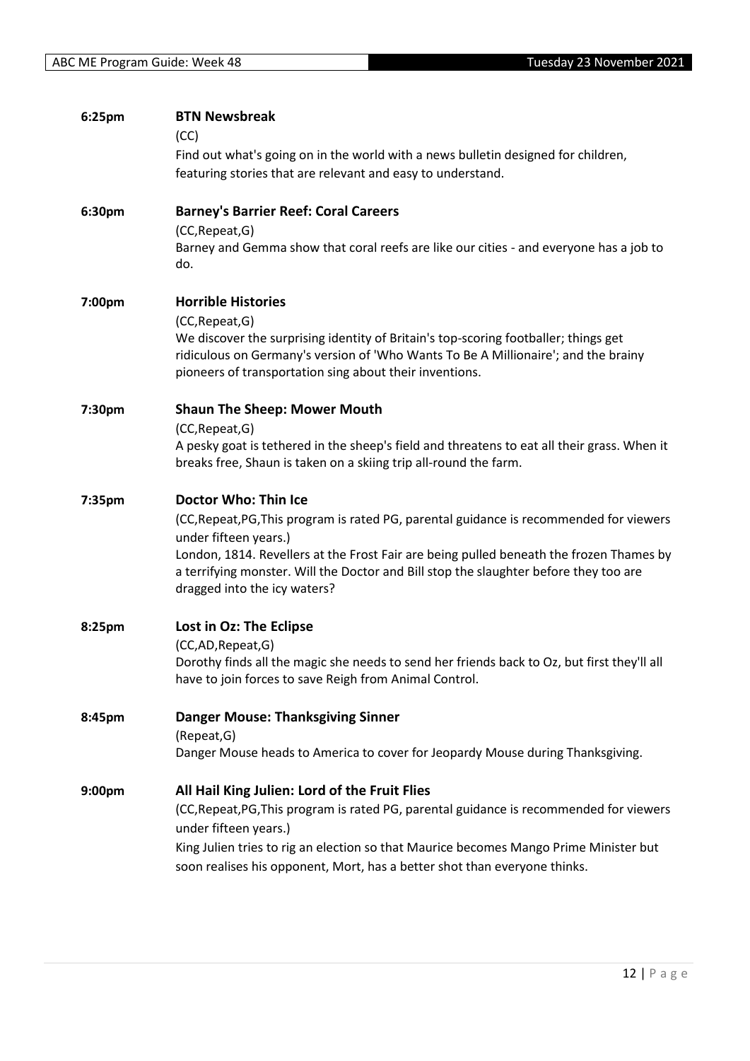| 6:25pm | <b>BTN Newsbreak</b>                                                                                                                                            |
|--------|-----------------------------------------------------------------------------------------------------------------------------------------------------------------|
|        | (CC)                                                                                                                                                            |
|        | Find out what's going on in the world with a news bulletin designed for children,                                                                               |
|        | featuring stories that are relevant and easy to understand.                                                                                                     |
| 6:30pm | <b>Barney's Barrier Reef: Coral Careers</b>                                                                                                                     |
|        | (CC, Repeat, G)                                                                                                                                                 |
|        | Barney and Gemma show that coral reefs are like our cities - and everyone has a job to<br>do.                                                                   |
| 7:00pm | <b>Horrible Histories</b>                                                                                                                                       |
|        | (CC, Repeat, G)<br>We discover the surprising identity of Britain's top-scoring footballer; things get                                                          |
|        | ridiculous on Germany's version of 'Who Wants To Be A Millionaire'; and the brainy<br>pioneers of transportation sing about their inventions.                   |
|        |                                                                                                                                                                 |
| 7:30pm | <b>Shaun The Sheep: Mower Mouth</b>                                                                                                                             |
|        | (CC, Repeat, G)                                                                                                                                                 |
|        | A pesky goat is tethered in the sheep's field and threatens to eat all their grass. When it<br>breaks free, Shaun is taken on a skiing trip all-round the farm. |
| 7:35pm | <b>Doctor Who: Thin Ice</b>                                                                                                                                     |
|        | (CC, Repeat, PG, This program is rated PG, parental guidance is recommended for viewers                                                                         |
|        | under fifteen years.)                                                                                                                                           |
|        | London, 1814. Revellers at the Frost Fair are being pulled beneath the frozen Thames by                                                                         |
|        | a terrifying monster. Will the Doctor and Bill stop the slaughter before they too are<br>dragged into the icy waters?                                           |
| 8:25pm | Lost in Oz: The Eclipse                                                                                                                                         |
|        | (CC,AD,Repeat,G)                                                                                                                                                |
|        | Dorothy finds all the magic she needs to send her friends back to Oz, but first they'll all                                                                     |
|        | have to join forces to save Reigh from Animal Control.                                                                                                          |
| 8:45pm | <b>Danger Mouse: Thanksgiving Sinner</b>                                                                                                                        |
|        | (Repeat, G)                                                                                                                                                     |
|        | Danger Mouse heads to America to cover for Jeopardy Mouse during Thanksgiving.                                                                                  |
| 9:00pm | All Hail King Julien: Lord of the Fruit Flies                                                                                                                   |
|        | (CC, Repeat, PG, This program is rated PG, parental guidance is recommended for viewers                                                                         |
|        | under fifteen years.)                                                                                                                                           |
|        | King Julien tries to rig an election so that Maurice becomes Mango Prime Minister but                                                                           |
|        | soon realises his opponent, Mort, has a better shot than everyone thinks.                                                                                       |
|        |                                                                                                                                                                 |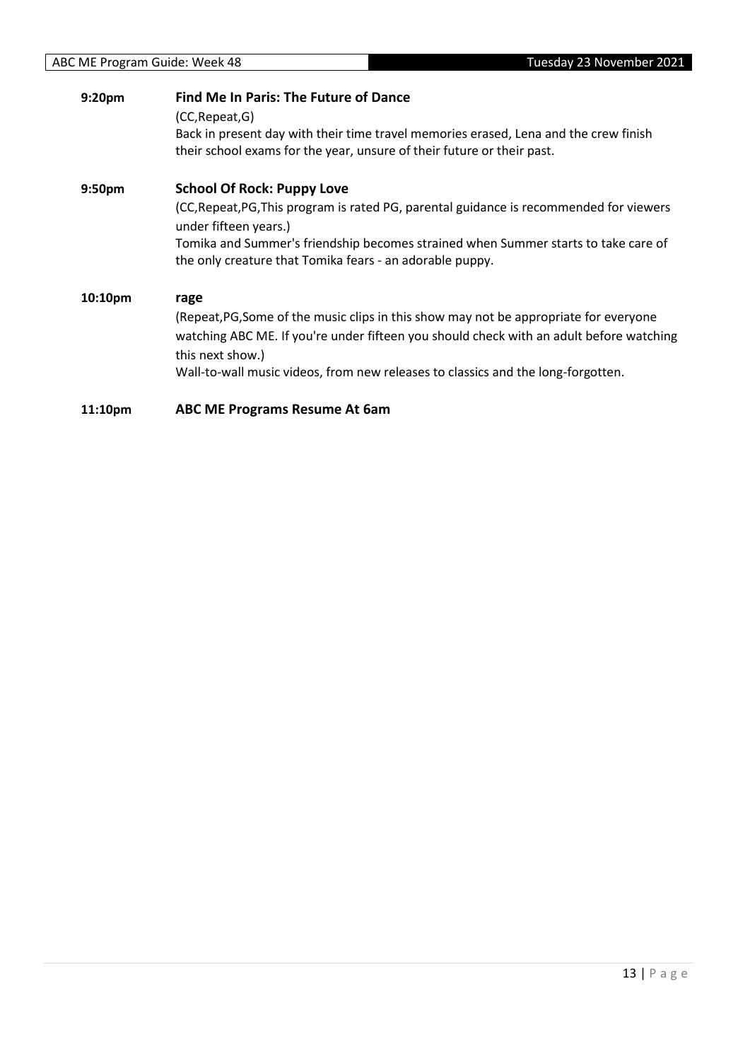| 9:20pm             | <b>Find Me In Paris: The Future of Dance</b>                                                                                                                                                         |
|--------------------|------------------------------------------------------------------------------------------------------------------------------------------------------------------------------------------------------|
|                    | (CC, Repeat, G)<br>Back in present day with their time travel memories erased, Lena and the crew finish<br>their school exams for the year, unsure of their future or their past.                    |
| 9:50 <sub>pm</sub> | <b>School Of Rock: Puppy Love</b>                                                                                                                                                                    |
|                    | (CC, Repeat, PG, This program is rated PG, parental guidance is recommended for viewers<br>under fifteen years.)                                                                                     |
|                    | Tomika and Summer's friendship becomes strained when Summer starts to take care of<br>the only creature that Tomika fears - an adorable puppy.                                                       |
| 10:10pm            | rage                                                                                                                                                                                                 |
|                    | (Repeat, PG, Some of the music clips in this show may not be appropriate for everyone<br>watching ABC ME. If you're under fifteen you should check with an adult before watching<br>this next show.) |
|                    | Wall-to-wall music videos, from new releases to classics and the long-forgotten.                                                                                                                     |
| 11:10pm            | <b>ABC ME Programs Resume At 6am</b>                                                                                                                                                                 |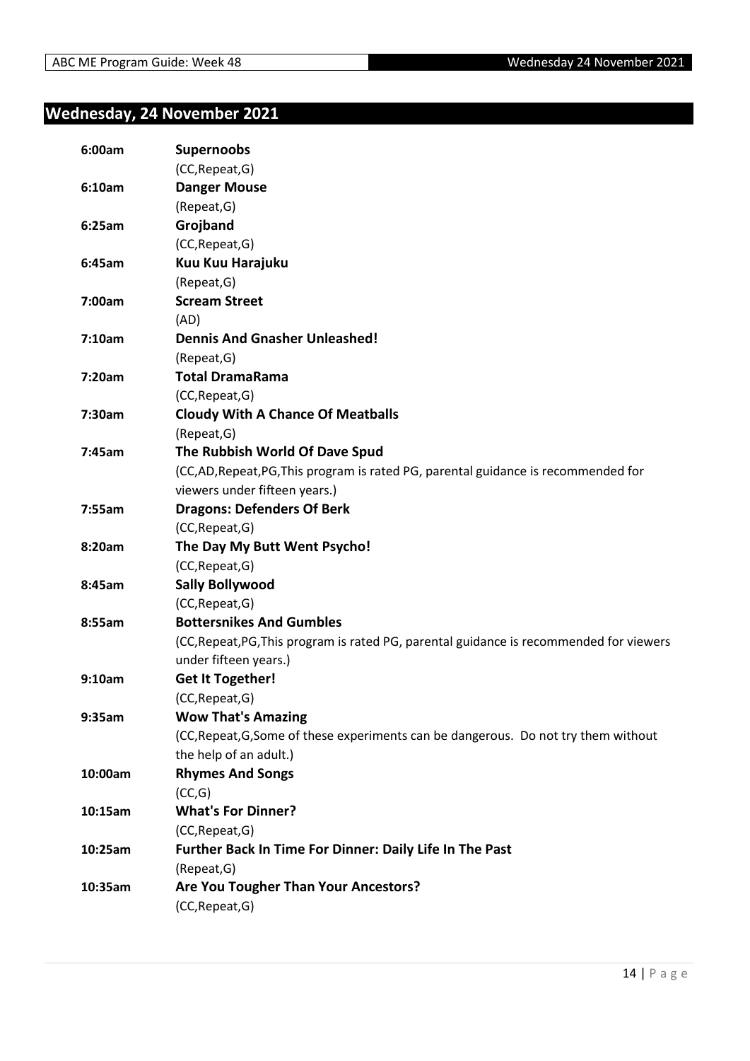### <span id="page-13-0"></span>**Wednesday, 24 November 2021**

| 6:00am  | <b>Supernoobs</b>                                                                       |
|---------|-----------------------------------------------------------------------------------------|
|         | (CC, Repeat, G)                                                                         |
| 6:10am  | <b>Danger Mouse</b>                                                                     |
|         | (Repeat, G)                                                                             |
| 6:25am  | Grojband                                                                                |
|         | (CC, Repeat, G)                                                                         |
| 6:45am  | Kuu Kuu Harajuku                                                                        |
|         | (Repeat, G)                                                                             |
| 7:00am  | <b>Scream Street</b>                                                                    |
|         | (AD)                                                                                    |
| 7:10am  | <b>Dennis And Gnasher Unleashed!</b>                                                    |
|         | (Repeat, G)                                                                             |
| 7:20am  | <b>Total DramaRama</b>                                                                  |
|         | (CC, Repeat, G)                                                                         |
| 7:30am  | <b>Cloudy With A Chance Of Meatballs</b>                                                |
|         | (Repeat, G)                                                                             |
| 7:45am  | The Rubbish World Of Dave Spud                                                          |
|         | (CC,AD,Repeat,PG,This program is rated PG, parental guidance is recommended for         |
|         | viewers under fifteen years.)                                                           |
| 7:55am  | <b>Dragons: Defenders Of Berk</b>                                                       |
|         | (CC, Repeat, G)                                                                         |
| 8:20am  | The Day My Butt Went Psycho!                                                            |
|         | (CC, Repeat, G)                                                                         |
| 8:45am  | <b>Sally Bollywood</b>                                                                  |
|         | (CC, Repeat, G)                                                                         |
| 8:55am  | <b>Bottersnikes And Gumbles</b>                                                         |
|         | (CC, Repeat, PG, This program is rated PG, parental guidance is recommended for viewers |
|         | under fifteen years.)                                                                   |
| 9:10am  | <b>Get It Together!</b>                                                                 |
|         | (CC, Repeat, G)                                                                         |
| 9:35am  | <b>Wow That's Amazing</b>                                                               |
|         | (CC, Repeat, G, Some of these experiments can be dangerous. Do not try them without     |
|         | the help of an adult.)                                                                  |
| 10:00am | <b>Rhymes And Songs</b>                                                                 |
|         | (CC,G)                                                                                  |
| 10:15am | <b>What's For Dinner?</b>                                                               |
|         | (CC, Repeat, G)                                                                         |
| 10:25am | Further Back In Time For Dinner: Daily Life In The Past                                 |
|         | (Repeat, G)                                                                             |
| 10:35am | Are You Tougher Than Your Ancestors?                                                    |
|         | (CC, Repeat, G)                                                                         |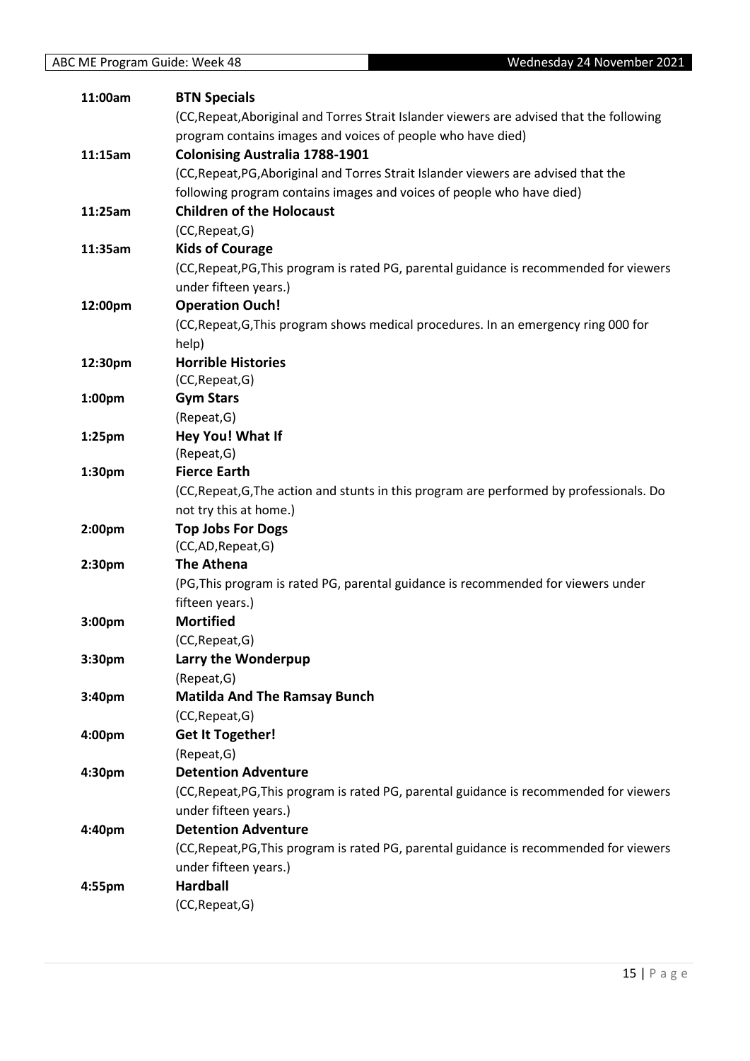| 11:00am   | <b>BTN Specials</b>                                                                       |
|-----------|-------------------------------------------------------------------------------------------|
|           | (CC, Repeat, Aboriginal and Torres Strait Islander viewers are advised that the following |
|           | program contains images and voices of people who have died)                               |
| 11:15am   | <b>Colonising Australia 1788-1901</b>                                                     |
|           | (CC, Repeat, PG, Aboriginal and Torres Strait Islander viewers are advised that the       |
|           | following program contains images and voices of people who have died)                     |
| 11:25am   | <b>Children of the Holocaust</b>                                                          |
|           | (CC, Repeat, G)                                                                           |
| 11:35am   | <b>Kids of Courage</b>                                                                    |
|           | (CC, Repeat, PG, This program is rated PG, parental guidance is recommended for viewers   |
|           | under fifteen years.)                                                                     |
| 12:00pm   | <b>Operation Ouch!</b>                                                                    |
|           | (CC, Repeat, G, This program shows medical procedures. In an emergency ring 000 for       |
|           | help)                                                                                     |
| 12:30pm   | <b>Horrible Histories</b>                                                                 |
|           | (CC, Repeat, G)                                                                           |
| 1:00pm    | <b>Gym Stars</b>                                                                          |
|           | (Repeat, G)                                                                               |
| $1:25$ pm | Hey You! What If                                                                          |
|           | (Repeat, G)                                                                               |
| 1:30pm    | <b>Fierce Earth</b>                                                                       |
|           | (CC, Repeat, G, The action and stunts in this program are performed by professionals. Do  |
|           | not try this at home.)                                                                    |
| 2:00pm    | <b>Top Jobs For Dogs</b><br>(CC,AD,Repeat,G)                                              |
| 2:30pm    | The Athena                                                                                |
|           | (PG, This program is rated PG, parental guidance is recommended for viewers under         |
|           | fifteen years.)                                                                           |
| 3:00pm    | <b>Mortified</b>                                                                          |
|           | (CC, Repeat, G)                                                                           |
| 3:30pm    | Larry the Wonderpup                                                                       |
|           | (Repeat, G)                                                                               |
| 3:40pm    | <b>Matilda And The Ramsay Bunch</b>                                                       |
|           | (CC, Repeat, G)                                                                           |
| 4:00pm    | <b>Get It Together!</b>                                                                   |
|           | (Repeat, G)                                                                               |
| 4:30pm    | <b>Detention Adventure</b>                                                                |
|           | (CC, Repeat, PG, This program is rated PG, parental guidance is recommended for viewers   |
|           | under fifteen years.)                                                                     |
| 4:40pm    | <b>Detention Adventure</b>                                                                |
|           | (CC, Repeat, PG, This program is rated PG, parental guidance is recommended for viewers   |
|           | under fifteen years.)                                                                     |
| 4:55pm    | <b>Hardball</b>                                                                           |
|           | (CC, Repeat, G)                                                                           |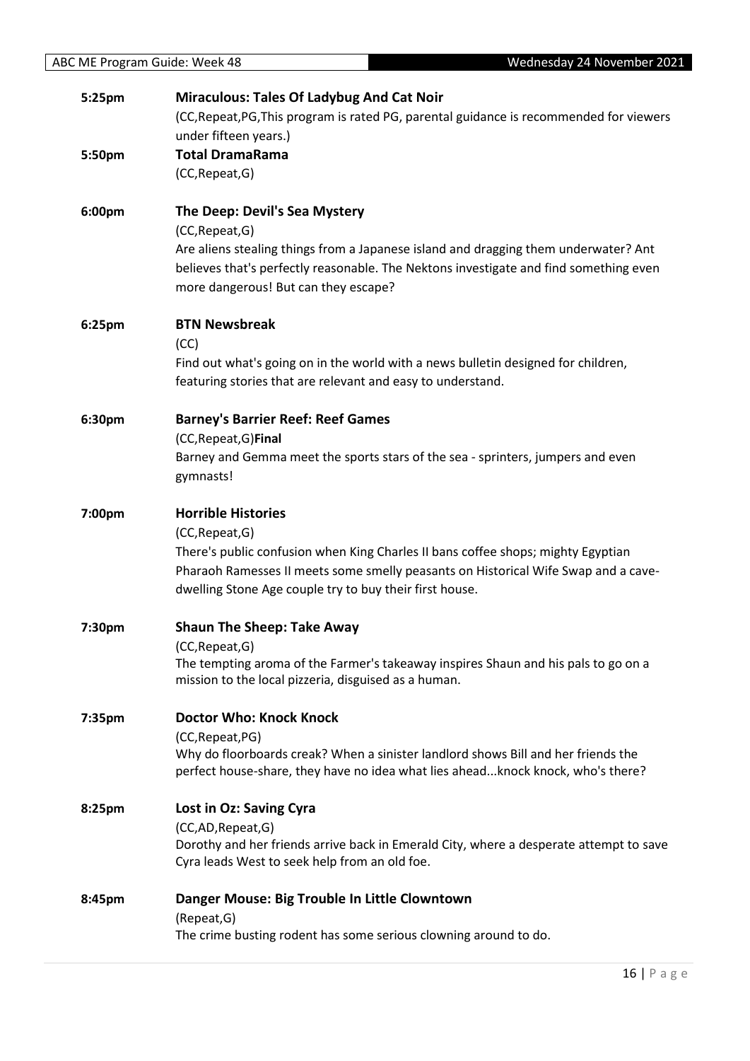| 5:25pm | <b>Miraculous: Tales Of Ladybug And Cat Noir</b><br>(CC, Repeat, PG, This program is rated PG, parental guidance is recommended for viewers                                                                          |
|--------|----------------------------------------------------------------------------------------------------------------------------------------------------------------------------------------------------------------------|
|        | under fifteen years.)                                                                                                                                                                                                |
| 5:50pm | <b>Total DramaRama</b>                                                                                                                                                                                               |
|        | (CC, Repeat, G)                                                                                                                                                                                                      |
| 6:00pm | The Deep: Devil's Sea Mystery                                                                                                                                                                                        |
|        | (CC, Repeat, G)                                                                                                                                                                                                      |
|        | Are aliens stealing things from a Japanese island and dragging them underwater? Ant<br>believes that's perfectly reasonable. The Nektons investigate and find something even<br>more dangerous! But can they escape? |
| 6:25pm | <b>BTN Newsbreak</b>                                                                                                                                                                                                 |
|        | (CC)                                                                                                                                                                                                                 |
|        | Find out what's going on in the world with a news bulletin designed for children,<br>featuring stories that are relevant and easy to understand.                                                                     |
| 6:30pm | <b>Barney's Barrier Reef: Reef Games</b>                                                                                                                                                                             |
|        | (CC, Repeat, G) Final                                                                                                                                                                                                |
|        | Barney and Gemma meet the sports stars of the sea - sprinters, jumpers and even<br>gymnasts!                                                                                                                         |
| 7:00pm | <b>Horrible Histories</b>                                                                                                                                                                                            |
|        | (CC, Repeat, G)                                                                                                                                                                                                      |
|        | There's public confusion when King Charles II bans coffee shops; mighty Egyptian                                                                                                                                     |
|        | Pharaoh Ramesses II meets some smelly peasants on Historical Wife Swap and a cave-<br>dwelling Stone Age couple try to buy their first house.                                                                        |
| 7:30pm | <b>Shaun The Sheep: Take Away</b>                                                                                                                                                                                    |
|        | (CC, Repeat, G)                                                                                                                                                                                                      |
|        | The tempting aroma of the Farmer's takeaway inspires Shaun and his pals to go on a<br>mission to the local pizzeria, disguised as a human.                                                                           |
| 7:35pm | <b>Doctor Who: Knock Knock</b>                                                                                                                                                                                       |
|        | (CC, Repeat, PG)                                                                                                                                                                                                     |
|        | Why do floorboards creak? When a sinister landlord shows Bill and her friends the                                                                                                                                    |
|        | perfect house-share, they have no idea what lies ahead knock knock, who's there?                                                                                                                                     |
| 8:25pm | <b>Lost in Oz: Saving Cyra</b>                                                                                                                                                                                       |
|        | (CC,AD, Repeat, G)                                                                                                                                                                                                   |
|        | Dorothy and her friends arrive back in Emerald City, where a desperate attempt to save<br>Cyra leads West to seek help from an old foe.                                                                              |
| 8:45pm | Danger Mouse: Big Trouble In Little Clowntown                                                                                                                                                                        |
|        | (Repeat, G)                                                                                                                                                                                                          |
|        | The crime busting rodent has some serious clowning around to do.                                                                                                                                                     |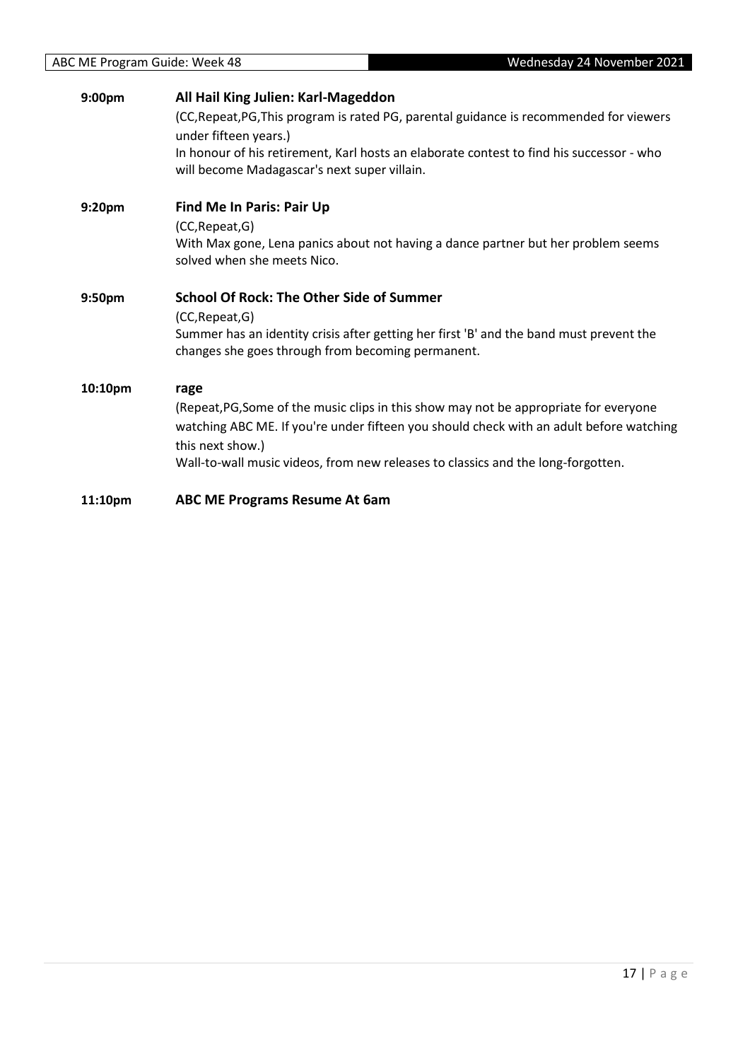| 9:00 <sub>pm</sub> | All Hail King Julien: Karl-Mageddon<br>(CC, Repeat, PG, This program is rated PG, parental guidance is recommended for viewers<br>under fifteen years.)<br>In honour of his retirement, Karl hosts an elaborate contest to find his successor - who<br>will become Madagascar's next super villain. |
|--------------------|-----------------------------------------------------------------------------------------------------------------------------------------------------------------------------------------------------------------------------------------------------------------------------------------------------|
| 9:20pm             | Find Me In Paris: Pair Up<br>(CC, Repeat, G)<br>With Max gone, Lena panics about not having a dance partner but her problem seems<br>solved when she meets Nico.                                                                                                                                    |
| 9:50pm             | <b>School Of Rock: The Other Side of Summer</b><br>(CC, Repeat, G)<br>Summer has an identity crisis after getting her first 'B' and the band must prevent the<br>changes she goes through from becoming permanent.                                                                                  |
| 10:10pm            | rage<br>(Repeat, PG, Some of the music clips in this show may not be appropriate for everyone<br>watching ABC ME. If you're under fifteen you should check with an adult before watching<br>this next show.)<br>Wall-to-wall music videos, from new releases to classics and the long-forgotten.    |
| 11:10pm            | <b>ABC ME Programs Resume At 6am</b>                                                                                                                                                                                                                                                                |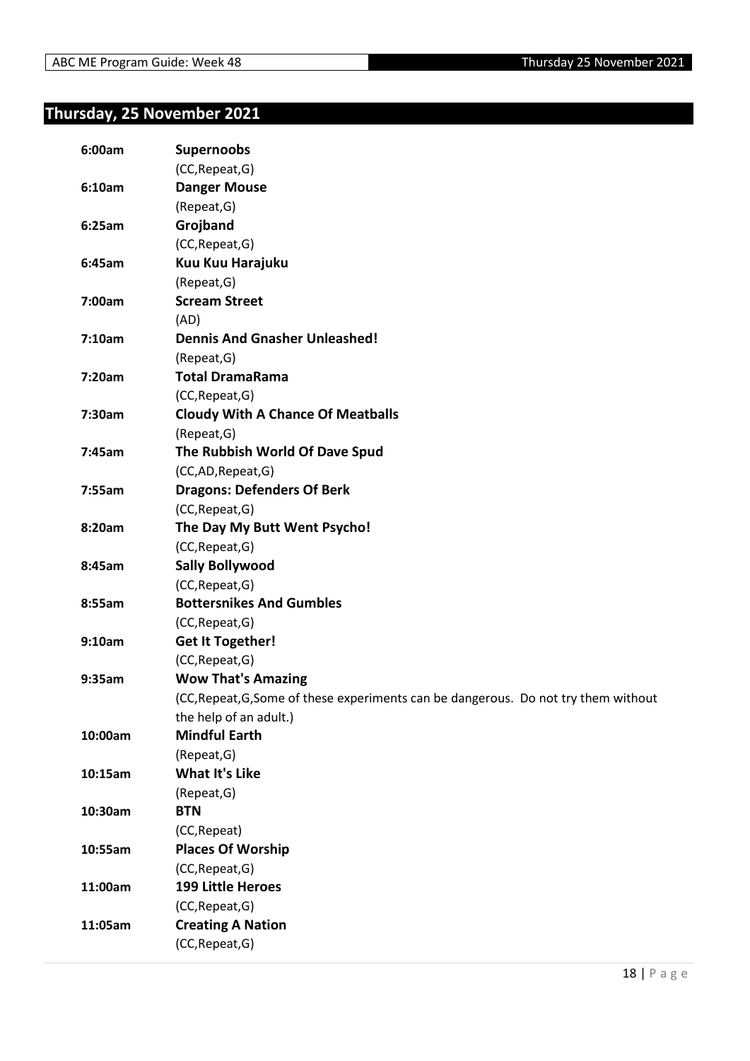### <span id="page-17-0"></span>**Thursday, 25 November 2021**

| 6:00am  | <b>Supernoobs</b>                                                                   |
|---------|-------------------------------------------------------------------------------------|
|         | (CC, Repeat, G)                                                                     |
| 6:10am  | <b>Danger Mouse</b>                                                                 |
|         | (Repeat, G)                                                                         |
| 6:25am  | Grojband                                                                            |
|         | (CC, Repeat, G)                                                                     |
| 6:45am  | Kuu Kuu Harajuku                                                                    |
|         | (Repeat, G)                                                                         |
| 7:00am  | <b>Scream Street</b>                                                                |
|         | (AD)                                                                                |
| 7:10am  | <b>Dennis And Gnasher Unleashed!</b>                                                |
|         | (Repeat, G)                                                                         |
| 7:20am  | <b>Total DramaRama</b>                                                              |
|         | (CC, Repeat, G)                                                                     |
| 7:30am  | <b>Cloudy With A Chance Of Meatballs</b>                                            |
|         | (Repeat, G)                                                                         |
| 7:45am  | The Rubbish World Of Dave Spud                                                      |
|         | (CC,AD,Repeat,G)                                                                    |
| 7:55am  | <b>Dragons: Defenders Of Berk</b>                                                   |
|         | (CC, Repeat, G)                                                                     |
| 8:20am  | The Day My Butt Went Psycho!                                                        |
|         | (CC, Repeat, G)                                                                     |
| 8:45am  | <b>Sally Bollywood</b>                                                              |
|         | (CC, Repeat, G)                                                                     |
| 8:55am  | <b>Bottersnikes And Gumbles</b>                                                     |
|         | (CC, Repeat, G)                                                                     |
| 9:10am  | <b>Get It Together!</b>                                                             |
|         | (CC, Repeat, G)                                                                     |
| 9:35am  | <b>Wow That's Amazing</b>                                                           |
|         | (CC, Repeat, G, Some of these experiments can be dangerous. Do not try them without |
|         | the help of an adult.)                                                              |
| 10:00am | <b>Mindful Earth</b>                                                                |
|         | (Repeat, G)                                                                         |
| 10:15am | <b>What It's Like</b>                                                               |
|         | (Repeat, G)                                                                         |
| 10:30am | <b>BTN</b>                                                                          |
|         | (CC, Repeat)                                                                        |
| 10:55am | <b>Places Of Worship</b>                                                            |
|         | (CC, Repeat, G)                                                                     |
| 11:00am | <b>199 Little Heroes</b>                                                            |
|         | (CC, Repeat, G)                                                                     |
| 11:05am | <b>Creating A Nation</b>                                                            |
|         | (CC, Repeat, G)                                                                     |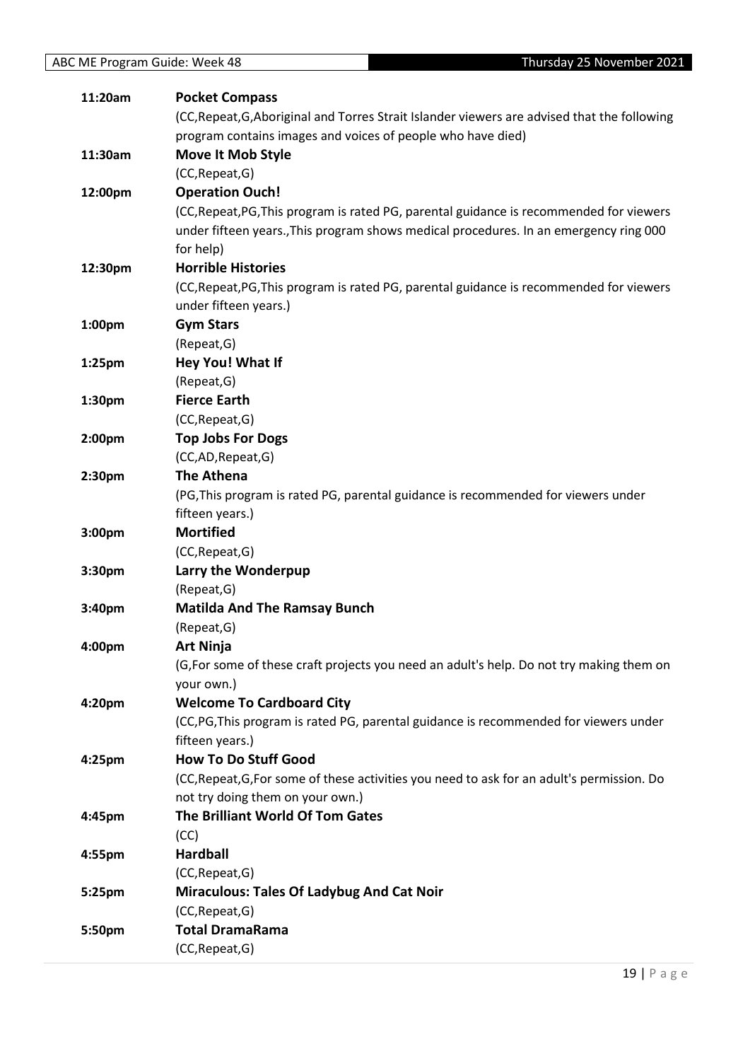| 11:20am            | <b>Pocket Compass</b>                                                                        |
|--------------------|----------------------------------------------------------------------------------------------|
|                    | (CC, Repeat, G, Aboriginal and Torres Strait Islander viewers are advised that the following |
|                    | program contains images and voices of people who have died)                                  |
| 11:30am            | <b>Move It Mob Style</b>                                                                     |
|                    | (CC, Repeat, G)                                                                              |
| 12:00pm            | <b>Operation Ouch!</b>                                                                       |
|                    | (CC, Repeat, PG, This program is rated PG, parental guidance is recommended for viewers      |
|                    | under fifteen years., This program shows medical procedures. In an emergency ring 000        |
|                    | for help)                                                                                    |
| 12:30pm            | <b>Horrible Histories</b>                                                                    |
|                    | (CC, Repeat, PG, This program is rated PG, parental guidance is recommended for viewers      |
|                    | under fifteen years.)                                                                        |
| 1:00 <sub>pm</sub> | <b>Gym Stars</b>                                                                             |
|                    | (Repeat, G)                                                                                  |
| 1:25 <sub>pm</sub> | Hey You! What If                                                                             |
|                    | (Repeat, G)                                                                                  |
| 1:30 <sub>pm</sub> | <b>Fierce Earth</b>                                                                          |
|                    | (CC, Repeat, G)                                                                              |
| 2:00pm             | <b>Top Jobs For Dogs</b>                                                                     |
|                    | (CC,AD,Repeat,G)                                                                             |
| 2:30 <sub>pm</sub> | <b>The Athena</b>                                                                            |
|                    | (PG, This program is rated PG, parental guidance is recommended for viewers under            |
|                    | fifteen years.)                                                                              |
| 3:00pm             | <b>Mortified</b>                                                                             |
|                    | (CC, Repeat, G)                                                                              |
| 3:30pm             | Larry the Wonderpup                                                                          |
|                    | (Repeat, G)                                                                                  |
| 3:40pm             | <b>Matilda And The Ramsay Bunch</b>                                                          |
|                    | (Repeat, G)                                                                                  |
| 4:00pm             | <b>Art Ninja</b>                                                                             |
|                    | (G, For some of these craft projects you need an adult's help. Do not try making them on     |
|                    | your own.)                                                                                   |
| 4:20 <sub>pm</sub> | <b>Welcome To Cardboard City</b>                                                             |
|                    | (CC,PG,This program is rated PG, parental guidance is recommended for viewers under          |
|                    | fifteen years.)                                                                              |
| 4:25 <sub>pm</sub> | <b>How To Do Stuff Good</b>                                                                  |
|                    | (CC, Repeat, G, For some of these activities you need to ask for an adult's permission. Do   |
|                    | not try doing them on your own.)                                                             |
| 4:45pm             | The Brilliant World Of Tom Gates                                                             |
|                    | (CC)                                                                                         |
| 4:55pm             | <b>Hardball</b>                                                                              |
|                    | (CC, Repeat, G)                                                                              |
| 5:25pm             | <b>Miraculous: Tales Of Ladybug And Cat Noir</b>                                             |
|                    | (CC, Repeat, G)                                                                              |
| 5:50pm             | <b>Total DramaRama</b>                                                                       |
|                    | (CC, Repeat, G)                                                                              |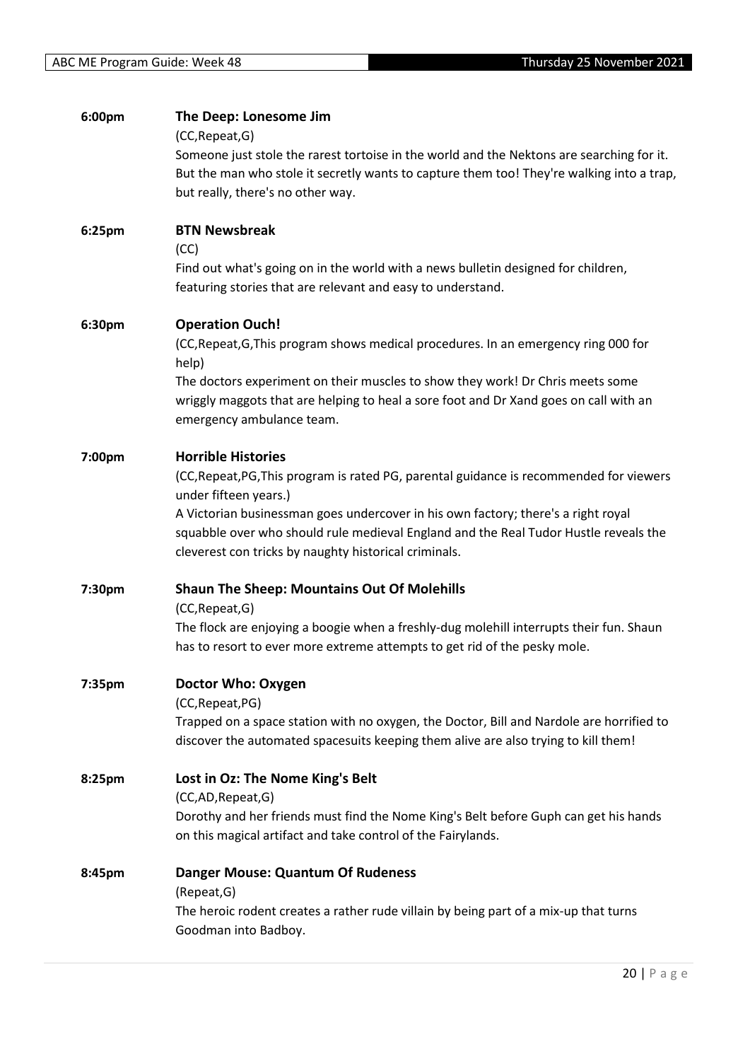| 6:00pm             | The Deep: Lonesome Jim<br>(CC, Repeat, G)                                                                                                                                      |
|--------------------|--------------------------------------------------------------------------------------------------------------------------------------------------------------------------------|
|                    | Someone just stole the rarest tortoise in the world and the Nektons are searching for it.                                                                                      |
|                    | But the man who stole it secretly wants to capture them too! They're walking into a trap,                                                                                      |
|                    | but really, there's no other way.                                                                                                                                              |
| 6:25pm             | <b>BTN Newsbreak</b>                                                                                                                                                           |
|                    | (CC)                                                                                                                                                                           |
|                    | Find out what's going on in the world with a news bulletin designed for children,<br>featuring stories that are relevant and easy to understand.                               |
| 6:30pm             | <b>Operation Ouch!</b>                                                                                                                                                         |
|                    | (CC, Repeat, G, This program shows medical procedures. In an emergency ring 000 for<br>help)                                                                                   |
|                    | The doctors experiment on their muscles to show they work! Dr Chris meets some<br>wriggly maggots that are helping to heal a sore foot and Dr Xand goes on call with an        |
|                    | emergency ambulance team.                                                                                                                                                      |
| 7:00pm             | <b>Horrible Histories</b>                                                                                                                                                      |
|                    | (CC, Repeat, PG, This program is rated PG, parental guidance is recommended for viewers<br>under fifteen years.)                                                               |
|                    | A Victorian businessman goes undercover in his own factory; there's a right royal                                                                                              |
|                    | squabble over who should rule medieval England and the Real Tudor Hustle reveals the<br>cleverest con tricks by naughty historical criminals.                                  |
| 7:30pm             | <b>Shaun The Sheep: Mountains Out Of Molehills</b>                                                                                                                             |
|                    | (CC, Repeat, G)                                                                                                                                                                |
|                    | The flock are enjoying a boogie when a freshly-dug molehill interrupts their fun. Shaun<br>has to resort to ever more extreme attempts to get rid of the pesky mole.           |
| 7:35 <sub>pm</sub> | Doctor Who: Oxygen                                                                                                                                                             |
|                    | (CC, Repeat, PG)                                                                                                                                                               |
|                    | Trapped on a space station with no oxygen, the Doctor, Bill and Nardole are horrified to<br>discover the automated spacesuits keeping them alive are also trying to kill them! |
|                    |                                                                                                                                                                                |
| 8:25pm             | Lost in Oz: The Nome King's Belt<br>(CC,AD,Repeat,G)                                                                                                                           |
|                    | Dorothy and her friends must find the Nome King's Belt before Guph can get his hands                                                                                           |
|                    | on this magical artifact and take control of the Fairylands.                                                                                                                   |
| 8:45pm             | <b>Danger Mouse: Quantum Of Rudeness</b>                                                                                                                                       |
|                    | (Repeat, G)                                                                                                                                                                    |
|                    | The heroic rodent creates a rather rude villain by being part of a mix-up that turns<br>Goodman into Badboy.                                                                   |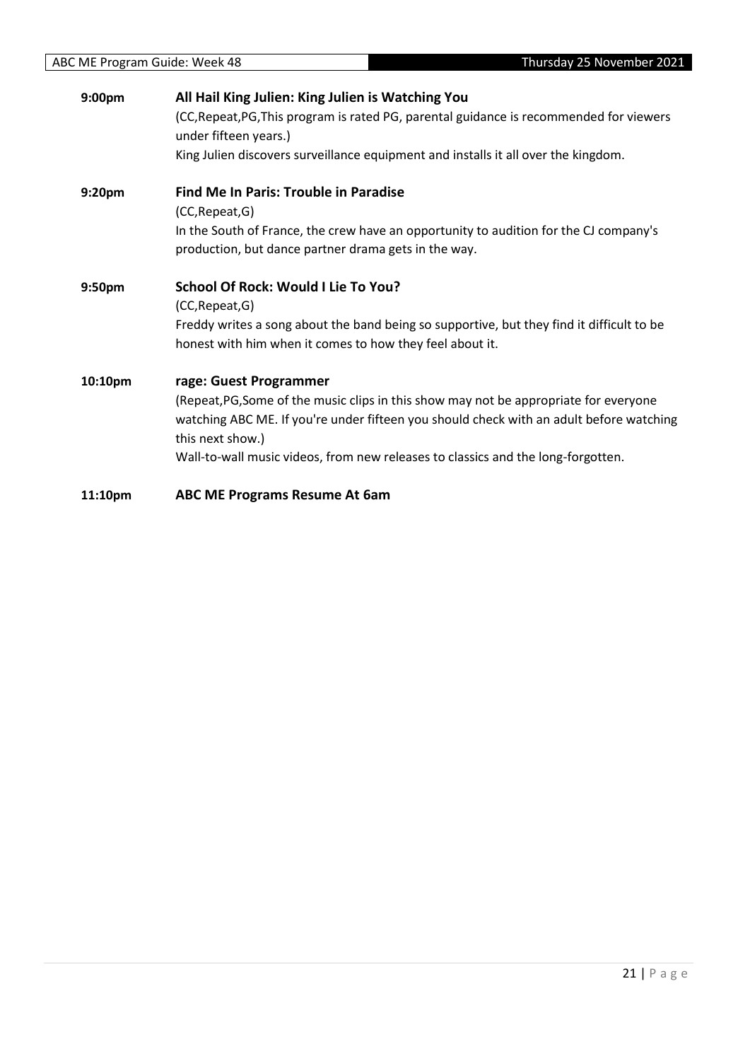| 9:00pm  | All Hail King Julien: King Julien is Watching You                                                                                             |
|---------|-----------------------------------------------------------------------------------------------------------------------------------------------|
|         | (CC, Repeat, PG, This program is rated PG, parental guidance is recommended for viewers<br>under fifteen years.)                              |
|         | King Julien discovers surveillance equipment and installs it all over the kingdom.                                                            |
| 9:20pm  | <b>Find Me In Paris: Trouble in Paradise</b>                                                                                                  |
|         | (CC, Repeat, G)                                                                                                                               |
|         | In the South of France, the crew have an opportunity to audition for the CJ company's<br>production, but dance partner drama gets in the way. |
| 9:50pm  | School Of Rock: Would I Lie To You?                                                                                                           |
|         | (CC, Repeat, G)                                                                                                                               |
|         | Freddy writes a song about the band being so supportive, but they find it difficult to be                                                     |
|         | honest with him when it comes to how they feel about it.                                                                                      |
| 10:10pm | rage: Guest Programmer                                                                                                                        |
|         | (Repeat, PG, Some of the music clips in this show may not be appropriate for everyone                                                         |
|         | watching ABC ME. If you're under fifteen you should check with an adult before watching<br>this next show.)                                   |
|         | Wall-to-wall music videos, from new releases to classics and the long-forgotten.                                                              |
| 11:10pm | <b>ABC ME Programs Resume At 6am</b>                                                                                                          |
|         |                                                                                                                                               |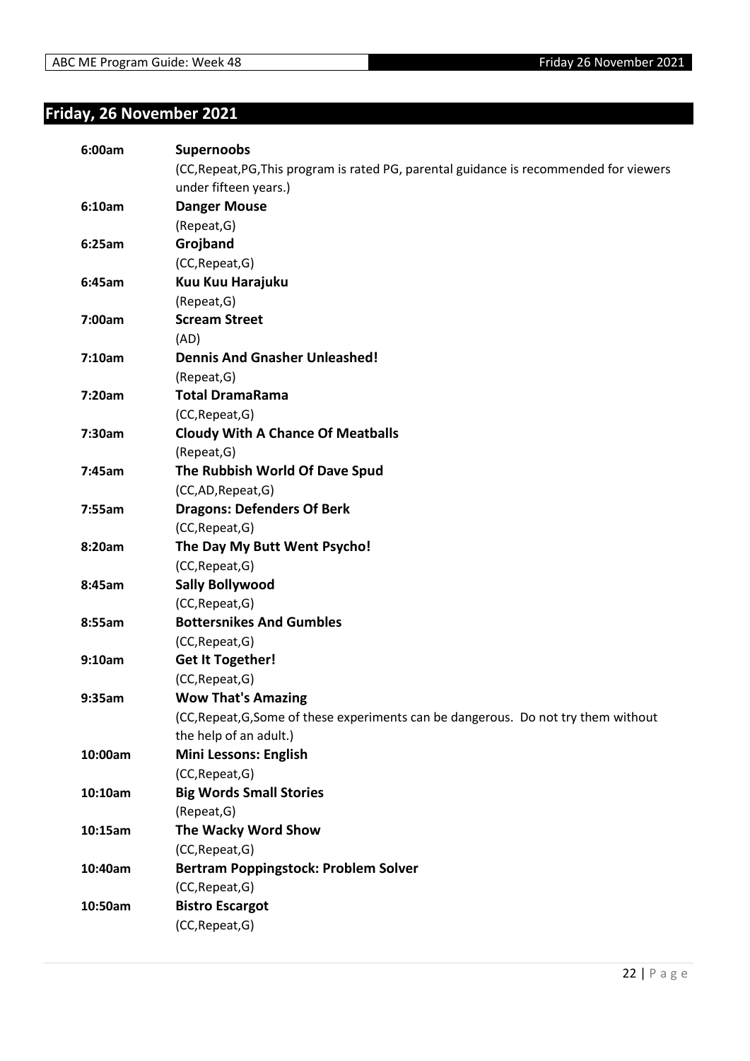### <span id="page-21-0"></span>**Friday, 26 November 2021**

| 6:00am  | <b>Supernoobs</b>                                                                       |
|---------|-----------------------------------------------------------------------------------------|
|         | (CC, Repeat, PG, This program is rated PG, parental guidance is recommended for viewers |
|         | under fifteen years.)                                                                   |
| 6:10am  | <b>Danger Mouse</b>                                                                     |
|         | (Repeat, G)                                                                             |
| 6:25am  | Grojband                                                                                |
|         | (CC, Repeat, G)                                                                         |
| 6:45am  | Kuu Kuu Harajuku                                                                        |
|         | (Repeat, G)                                                                             |
| 7:00am  | <b>Scream Street</b>                                                                    |
|         | (AD)                                                                                    |
| 7:10am  | <b>Dennis And Gnasher Unleashed!</b>                                                    |
|         | (Repeat, G)                                                                             |
| 7:20am  | <b>Total DramaRama</b>                                                                  |
|         | (CC, Repeat, G)                                                                         |
| 7:30am  | <b>Cloudy With A Chance Of Meatballs</b>                                                |
|         | (Repeat, G)                                                                             |
| 7:45am  | The Rubbish World Of Dave Spud                                                          |
|         | (CC,AD,Repeat,G)                                                                        |
| 7:55am  | <b>Dragons: Defenders Of Berk</b>                                                       |
|         | (CC, Repeat, G)                                                                         |
| 8:20am  | The Day My Butt Went Psycho!                                                            |
|         | (CC, Repeat, G)                                                                         |
| 8:45am  | <b>Sally Bollywood</b>                                                                  |
|         | (CC, Repeat, G)                                                                         |
| 8:55am  | <b>Bottersnikes And Gumbles</b>                                                         |
|         | (CC, Repeat, G)                                                                         |
| 9:10am  | <b>Get It Together!</b>                                                                 |
|         | (CC, Repeat, G)                                                                         |
| 9:35am  | <b>Wow That's Amazing</b>                                                               |
|         | (CC, Repeat, G, Some of these experiments can be dangerous. Do not try them without     |
|         | the help of an adult.)                                                                  |
| 10:00am | Mini Lessons: English                                                                   |
|         | (CC, Repeat, G)                                                                         |
| 10:10am | <b>Big Words Small Stories</b>                                                          |
|         | (Repeat, G)                                                                             |
| 10:15am | The Wacky Word Show                                                                     |
|         | (CC, Repeat, G)                                                                         |
| 10:40am | Bertram Poppingstock: Problem Solver                                                    |
|         | (CC, Repeat, G)                                                                         |
| 10:50am | <b>Bistro Escargot</b>                                                                  |
|         | (CC, Repeat, G)                                                                         |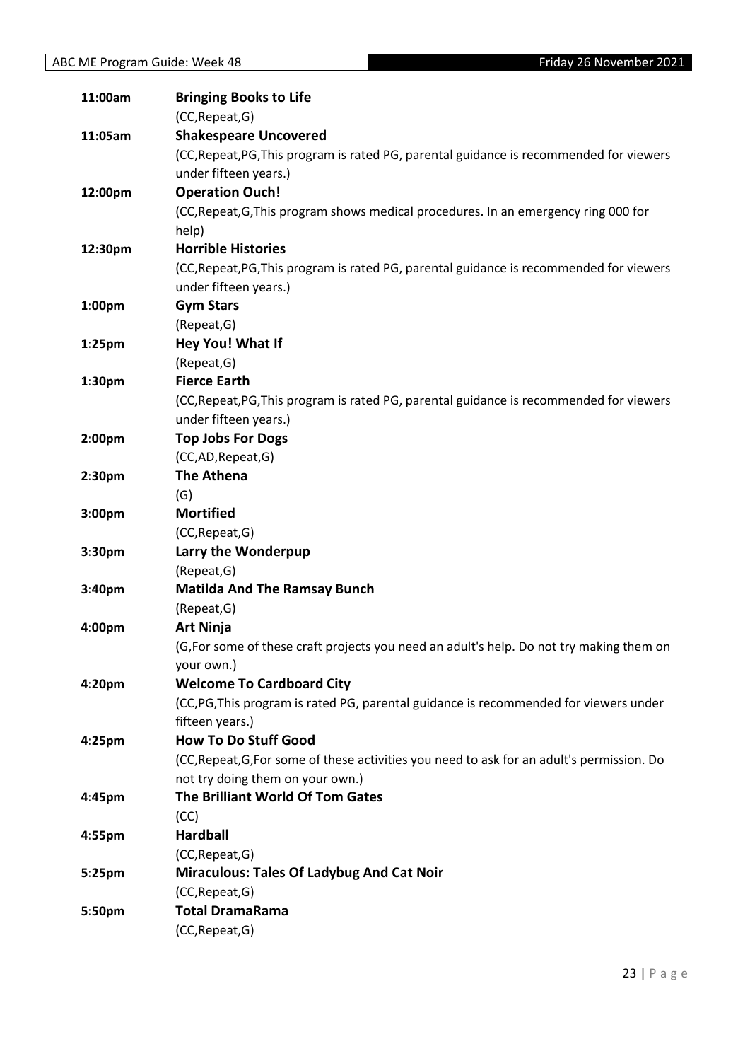| 11:00am   | <b>Bringing Books to Life</b>                                                              |
|-----------|--------------------------------------------------------------------------------------------|
|           | (CC, Repeat, G)                                                                            |
| 11:05am   | <b>Shakespeare Uncovered</b>                                                               |
|           | (CC, Repeat, PG, This program is rated PG, parental guidance is recommended for viewers    |
|           | under fifteen years.)                                                                      |
| 12:00pm   | <b>Operation Ouch!</b>                                                                     |
|           | (CC, Repeat, G, This program shows medical procedures. In an emergency ring 000 for        |
|           | help)                                                                                      |
| 12:30pm   | <b>Horrible Histories</b>                                                                  |
|           | (CC, Repeat, PG, This program is rated PG, parental guidance is recommended for viewers    |
|           | under fifteen years.)                                                                      |
| 1:00pm    | <b>Gym Stars</b>                                                                           |
|           | (Repeat, G)                                                                                |
| $1:25$ pm | Hey You! What If                                                                           |
|           | (Repeat, G)                                                                                |
| 1:30pm    | <b>Fierce Earth</b>                                                                        |
|           | (CC, Repeat, PG, This program is rated PG, parental guidance is recommended for viewers    |
|           | under fifteen years.)                                                                      |
| 2:00pm    | <b>Top Jobs For Dogs</b>                                                                   |
|           | (CC,AD,Repeat,G)                                                                           |
| 2:30pm    | <b>The Athena</b>                                                                          |
|           | (G)                                                                                        |
| 3:00pm    | <b>Mortified</b>                                                                           |
|           | (CC, Repeat, G)                                                                            |
| 3:30pm    | Larry the Wonderpup                                                                        |
|           | (Repeat, G)                                                                                |
| 3:40pm    | <b>Matilda And The Ramsay Bunch</b>                                                        |
|           | (Repeat, G)                                                                                |
| 4:00pm    | <b>Art Ninja</b>                                                                           |
|           | (G, For some of these craft projects you need an adult's help. Do not try making them on   |
|           | your own.)                                                                                 |
| 4:20pm    | <b>Welcome To Cardboard City</b>                                                           |
|           | (CC,PG,This program is rated PG, parental guidance is recommended for viewers under        |
|           | fifteen years.)                                                                            |
| 4:25pm    | <b>How To Do Stuff Good</b>                                                                |
|           | (CC, Repeat, G, For some of these activities you need to ask for an adult's permission. Do |
|           | not try doing them on your own.)                                                           |
| 4:45pm    | The Brilliant World Of Tom Gates                                                           |
|           | (CC)                                                                                       |
| 4:55pm    | <b>Hardball</b>                                                                            |
|           | (CC, Repeat, G)                                                                            |
| 5:25pm    | <b>Miraculous: Tales Of Ladybug And Cat Noir</b>                                           |
|           | (CC, Repeat, G)                                                                            |
| 5:50pm    | <b>Total DramaRama</b>                                                                     |
|           | (CC, Repeat, G)                                                                            |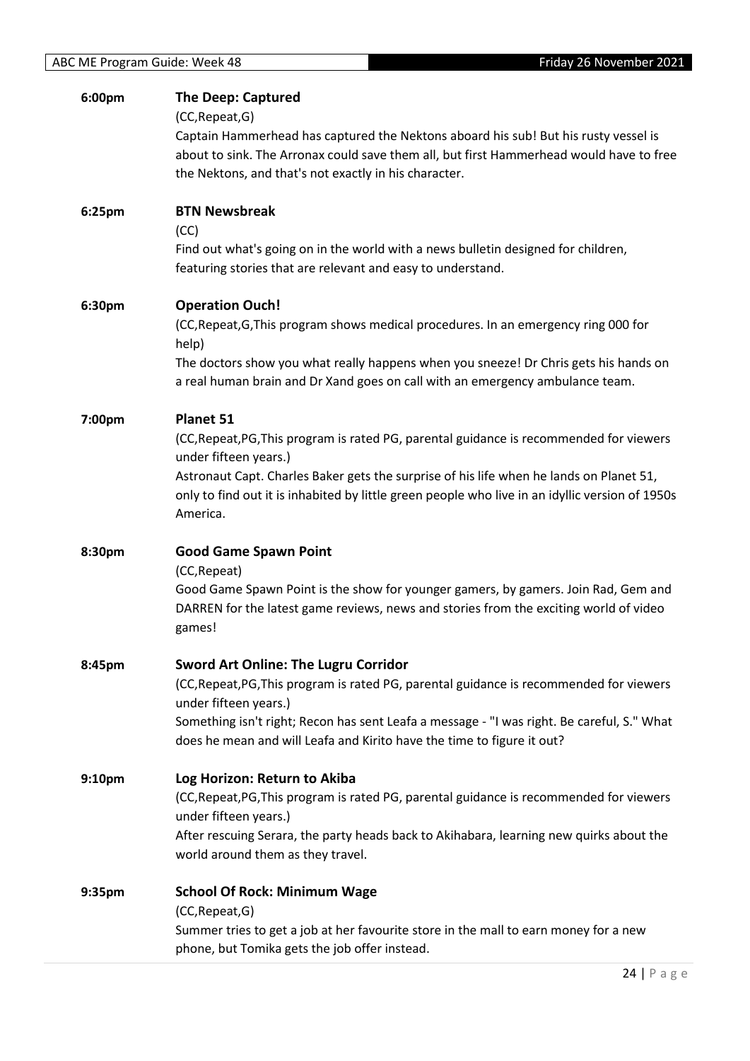| 6:00pm             | <b>The Deep: Captured</b><br>(CC, Repeat, G)<br>Captain Hammerhead has captured the Nektons aboard his sub! But his rusty vessel is<br>about to sink. The Arronax could save them all, but first Hammerhead would have to free<br>the Nektons, and that's not exactly in his character.                                                 |
|--------------------|-----------------------------------------------------------------------------------------------------------------------------------------------------------------------------------------------------------------------------------------------------------------------------------------------------------------------------------------|
| 6:25pm             | <b>BTN Newsbreak</b><br>(CC)<br>Find out what's going on in the world with a news bulletin designed for children,<br>featuring stories that are relevant and easy to understand.                                                                                                                                                        |
| 6:30pm             | <b>Operation Ouch!</b><br>(CC, Repeat, G, This program shows medical procedures. In an emergency ring 000 for<br>help)<br>The doctors show you what really happens when you sneeze! Dr Chris gets his hands on<br>a real human brain and Dr Xand goes on call with an emergency ambulance team.                                         |
| 7:00pm             | Planet 51<br>(CC, Repeat, PG, This program is rated PG, parental guidance is recommended for viewers<br>under fifteen years.)<br>Astronaut Capt. Charles Baker gets the surprise of his life when he lands on Planet 51,<br>only to find out it is inhabited by little green people who live in an idyllic version of 1950s<br>America. |
| 8:30pm             | <b>Good Game Spawn Point</b><br>(CC, Repeat)<br>Good Game Spawn Point is the show for younger gamers, by gamers. Join Rad, Gem and<br>DARREN for the latest game reviews, news and stories from the exciting world of video<br>games!                                                                                                   |
| 8:45pm             | <b>Sword Art Online: The Lugru Corridor</b><br>(CC, Repeat, PG, This program is rated PG, parental guidance is recommended for viewers<br>under fifteen years.)<br>Something isn't right; Recon has sent Leafa a message - "I was right. Be careful, S." What<br>does he mean and will Leafa and Kirito have the time to figure it out? |
| 9:10 <sub>pm</sub> | Log Horizon: Return to Akiba<br>(CC, Repeat, PG, This program is rated PG, parental guidance is recommended for viewers<br>under fifteen years.)<br>After rescuing Serara, the party heads back to Akihabara, learning new quirks about the<br>world around them as they travel.                                                        |
| 9:35pm             | <b>School Of Rock: Minimum Wage</b><br>(CC, Repeat, G)<br>Summer tries to get a job at her favourite store in the mall to earn money for a new<br>phone, but Tomika gets the job offer instead.                                                                                                                                         |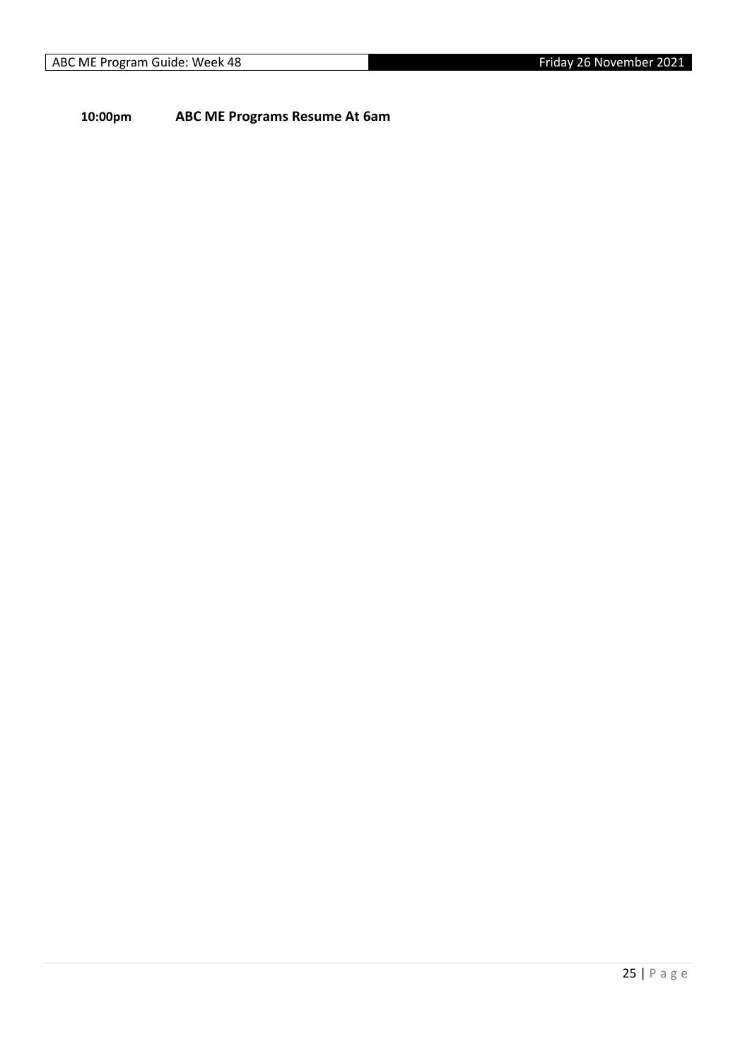**10:00pm ABC ME Programs Resume At 6am**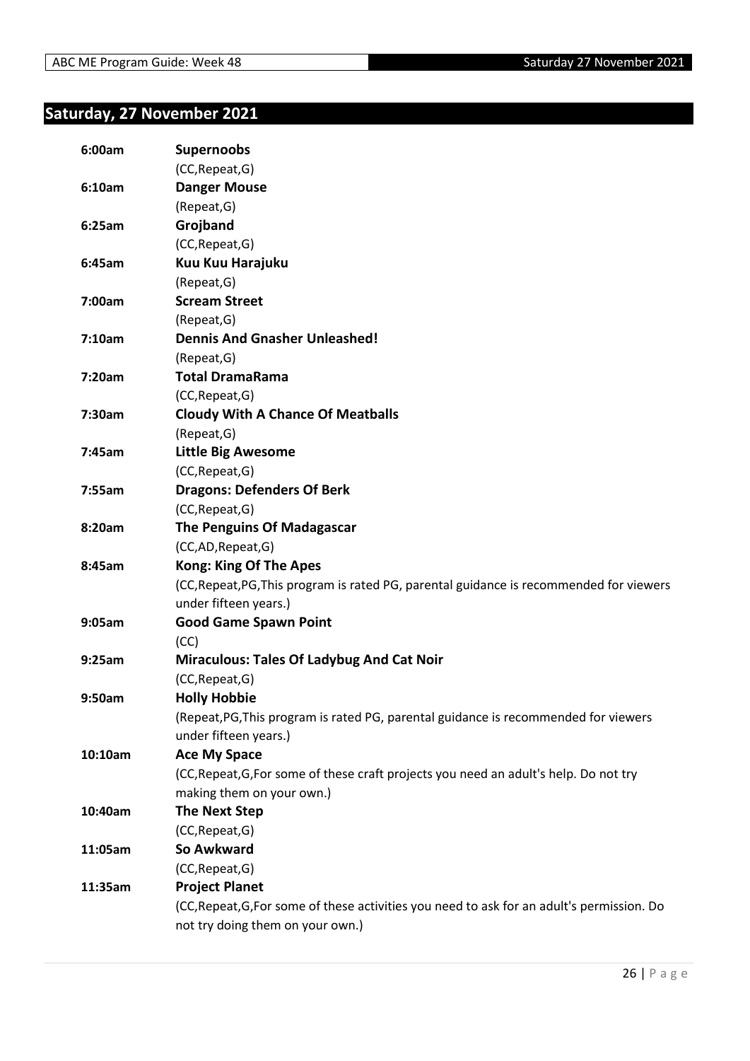#### <span id="page-25-0"></span>**Saturday, 27 November 2021**

| 6:00am  | <b>Supernoobs</b>                                                                          |
|---------|--------------------------------------------------------------------------------------------|
|         | (CC, Repeat, G)                                                                            |
| 6:10am  | <b>Danger Mouse</b>                                                                        |
|         | (Repeat, G)                                                                                |
| 6:25am  | Grojband                                                                                   |
|         | (CC, Repeat, G)                                                                            |
| 6:45am  | Kuu Kuu Harajuku                                                                           |
|         | (Repeat, G)                                                                                |
| 7:00am  | <b>Scream Street</b>                                                                       |
|         | (Repeat, G)                                                                                |
| 7:10am  | <b>Dennis And Gnasher Unleashed!</b>                                                       |
|         | (Repeat, G)                                                                                |
| 7:20am  | <b>Total DramaRama</b>                                                                     |
|         | (CC, Repeat, G)                                                                            |
| 7:30am  | <b>Cloudy With A Chance Of Meatballs</b>                                                   |
|         | (Repeat, G)                                                                                |
| 7:45am  | <b>Little Big Awesome</b>                                                                  |
|         | (CC, Repeat, G)                                                                            |
| 7:55am  | <b>Dragons: Defenders Of Berk</b>                                                          |
|         | (CC, Repeat, G)                                                                            |
| 8:20am  | <b>The Penguins Of Madagascar</b>                                                          |
|         | (CC,AD,Repeat,G)                                                                           |
| 8:45am  | <b>Kong: King Of The Apes</b>                                                              |
|         | (CC, Repeat, PG, This program is rated PG, parental guidance is recommended for viewers    |
|         | under fifteen years.)                                                                      |
| 9:05am  | <b>Good Game Spawn Point</b>                                                               |
|         | (CC)                                                                                       |
| 9:25am  | <b>Miraculous: Tales Of Ladybug And Cat Noir</b>                                           |
|         | (CC, Repeat, G)                                                                            |
| 9:50am  | <b>Holly Hobbie</b>                                                                        |
|         | (Repeat, PG, This program is rated PG, parental guidance is recommended for viewers        |
|         | under fifteen years.)                                                                      |
| 10:10am | <b>Ace My Space</b>                                                                        |
|         | (CC, Repeat, G, For some of these craft projects you need an adult's help. Do not try      |
|         | making them on your own.)                                                                  |
| 10:40am | <b>The Next Step</b>                                                                       |
|         | (CC, Repeat, G)                                                                            |
| 11:05am | <b>So Awkward</b>                                                                          |
|         | (CC, Repeat, G)                                                                            |
| 11:35am | <b>Project Planet</b>                                                                      |
|         | (CC, Repeat, G, For some of these activities you need to ask for an adult's permission. Do |
|         | not try doing them on your own.)                                                           |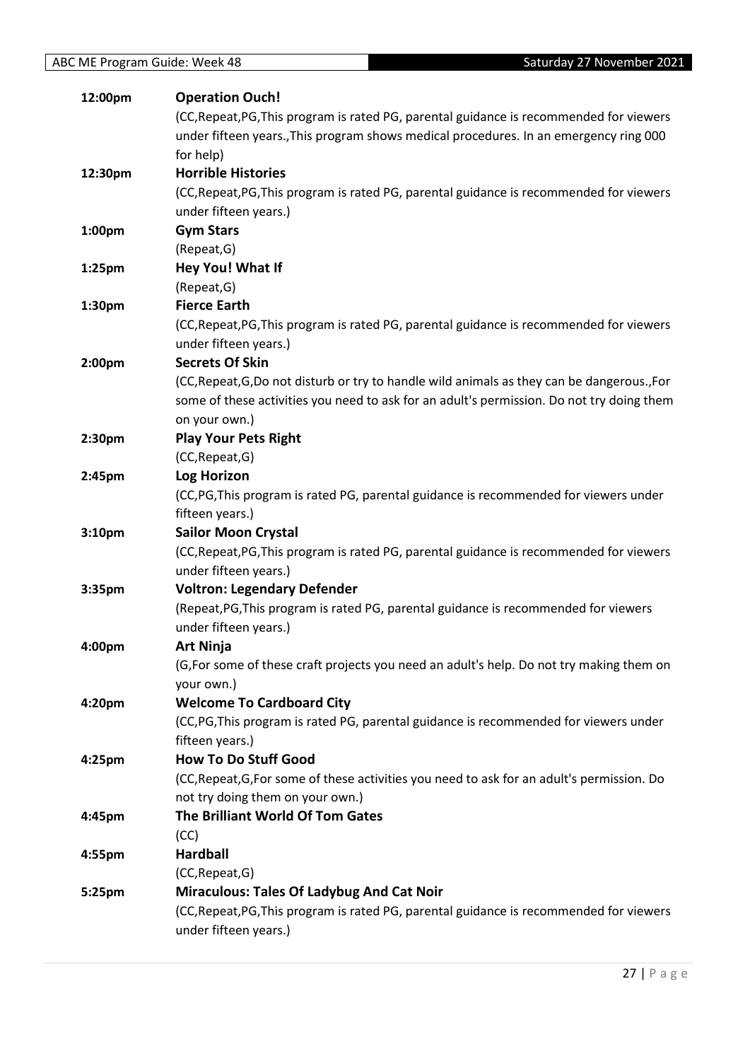| 12:00pm            | <b>Operation Ouch!</b>                                                                                 |
|--------------------|--------------------------------------------------------------------------------------------------------|
|                    | (CC, Repeat, PG, This program is rated PG, parental guidance is recommended for viewers                |
|                    | under fifteen years., This program shows medical procedures. In an emergency ring 000                  |
|                    | for help)                                                                                              |
| 12:30pm            | <b>Horrible Histories</b>                                                                              |
|                    | (CC, Repeat, PG, This program is rated PG, parental guidance is recommended for viewers                |
|                    | under fifteen years.)                                                                                  |
| 1:00pm             | <b>Gym Stars</b>                                                                                       |
|                    | (Repeat, G)                                                                                            |
| 1:25 <sub>pm</sub> | Hey You! What If                                                                                       |
|                    | (Repeat, G)                                                                                            |
| 1:30pm             | <b>Fierce Earth</b>                                                                                    |
|                    | (CC, Repeat, PG, This program is rated PG, parental guidance is recommended for viewers                |
|                    | under fifteen years.)                                                                                  |
| 2:00pm             | <b>Secrets Of Skin</b>                                                                                 |
|                    | (CC, Repeat, G, Do not disturb or try to handle wild animals as they can be dangerous., For            |
|                    | some of these activities you need to ask for an adult's permission. Do not try doing them              |
|                    | on your own.)                                                                                          |
| 2:30pm             | <b>Play Your Pets Right</b>                                                                            |
|                    | (CC, Repeat, G)                                                                                        |
| 2:45pm             | <b>Log Horizon</b>                                                                                     |
|                    | (CC, PG, This program is rated PG, parental guidance is recommended for viewers under                  |
|                    | fifteen years.)                                                                                        |
| 3:10pm             | <b>Sailor Moon Crystal</b>                                                                             |
|                    | (CC, Repeat, PG, This program is rated PG, parental guidance is recommended for viewers                |
|                    | under fifteen years.)                                                                                  |
| 3:35pm             | <b>Voltron: Legendary Defender</b>                                                                     |
|                    | (Repeat, PG, This program is rated PG, parental guidance is recommended for viewers                    |
|                    | under fifteen years.)                                                                                  |
| 4:00pm             | <b>Art Ninja</b>                                                                                       |
|                    | (G, For some of these craft projects you need an adult's help. Do not try making them on<br>your own.) |
| 4:20pm             | <b>Welcome To Cardboard City</b>                                                                       |
|                    | (CC, PG, This program is rated PG, parental guidance is recommended for viewers under                  |
|                    | fifteen years.)                                                                                        |
| 4:25pm             | <b>How To Do Stuff Good</b>                                                                            |
|                    | (CC, Repeat, G, For some of these activities you need to ask for an adult's permission. Do             |
|                    | not try doing them on your own.)                                                                       |
|                    | The Brilliant World Of Tom Gates                                                                       |
| 4:45pm             | (CC)                                                                                                   |
| 4:55pm             | <b>Hardball</b>                                                                                        |
|                    | (CC, Repeat, G)                                                                                        |
| 5:25pm             | <b>Miraculous: Tales Of Ladybug And Cat Noir</b>                                                       |
|                    | (CC, Repeat, PG, This program is rated PG, parental guidance is recommended for viewers                |
|                    | under fifteen years.)                                                                                  |
|                    |                                                                                                        |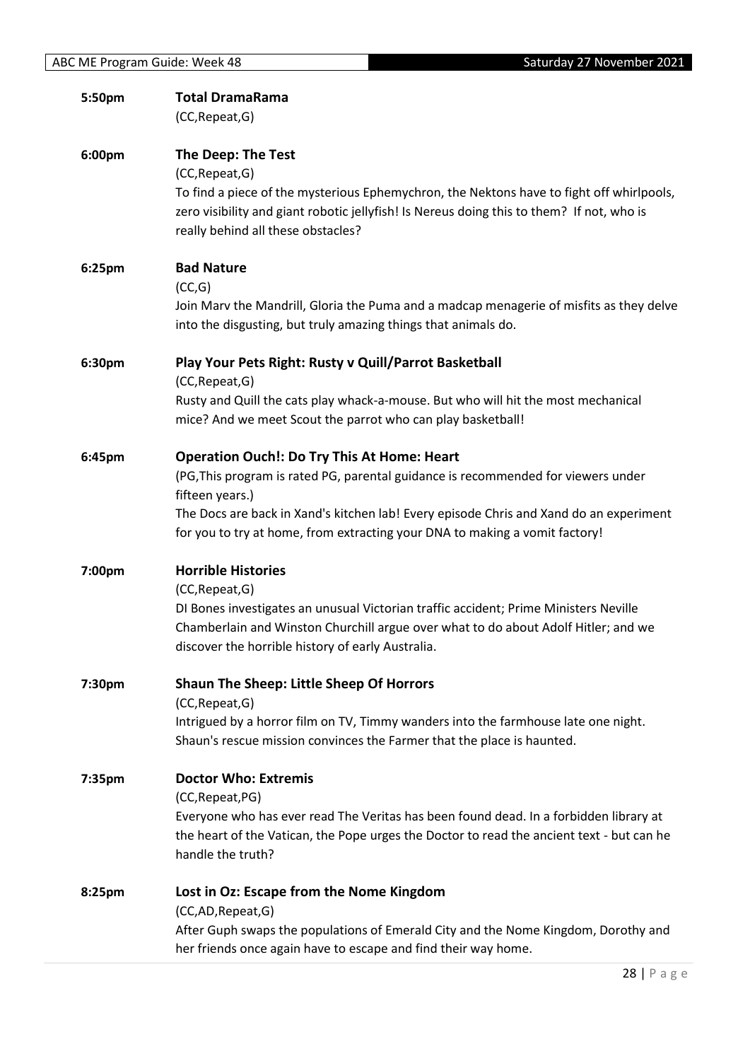| 5:50pm | <b>Total DramaRama</b><br>(CC, Repeat, G)                                                                                                                                                                                                                                                                                           |
|--------|-------------------------------------------------------------------------------------------------------------------------------------------------------------------------------------------------------------------------------------------------------------------------------------------------------------------------------------|
| 6:00pm | The Deep: The Test<br>(CC, Repeat, G)<br>To find a piece of the mysterious Ephemychron, the Nektons have to fight off whirlpools,<br>zero visibility and giant robotic jellyfish! Is Nereus doing this to them? If not, who is<br>really behind all these obstacles?                                                                |
| 6:25pm | <b>Bad Nature</b><br>(CC,G)<br>Join Marv the Mandrill, Gloria the Puma and a madcap menagerie of misfits as they delve<br>into the disgusting, but truly amazing things that animals do.                                                                                                                                            |
| 6:30pm | Play Your Pets Right: Rusty v Quill/Parrot Basketball<br>(CC, Repeat, G)<br>Rusty and Quill the cats play whack-a-mouse. But who will hit the most mechanical<br>mice? And we meet Scout the parrot who can play basketball!                                                                                                        |
| 6:45pm | <b>Operation Ouch!: Do Try This At Home: Heart</b><br>(PG, This program is rated PG, parental guidance is recommended for viewers under<br>fifteen years.)<br>The Docs are back in Xand's kitchen lab! Every episode Chris and Xand do an experiment<br>for you to try at home, from extracting your DNA to making a vomit factory! |
| 7:00pm | <b>Horrible Histories</b><br>(CC, Repeat, G)<br>DI Bones investigates an unusual Victorian traffic accident; Prime Ministers Neville<br>Chamberlain and Winston Churchill argue over what to do about Adolf Hitler; and we<br>discover the horrible history of early Australia.                                                     |
| 7:30pm | Shaun The Sheep: Little Sheep Of Horrors<br>(CC, Repeat, G)<br>Intrigued by a horror film on TV, Timmy wanders into the farmhouse late one night.<br>Shaun's rescue mission convinces the Farmer that the place is haunted.                                                                                                         |
| 7:35pm | <b>Doctor Who: Extremis</b><br>(CC, Repeat, PG)<br>Everyone who has ever read The Veritas has been found dead. In a forbidden library at<br>the heart of the Vatican, the Pope urges the Doctor to read the ancient text - but can he<br>handle the truth?                                                                          |
| 8:25pm | Lost in Oz: Escape from the Nome Kingdom<br>(CC,AD,Repeat,G)<br>After Guph swaps the populations of Emerald City and the Nome Kingdom, Dorothy and<br>her friends once again have to escape and find their way home.                                                                                                                |